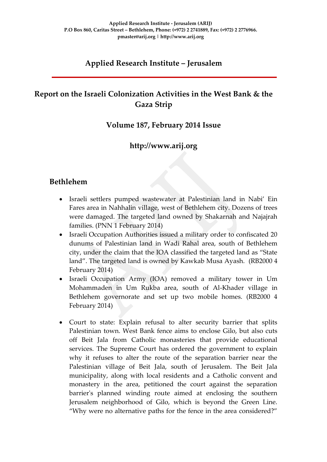# **Applied Research Institute – Jerusalem**

# **Report on the Israeli Colonization Activities in the West Bank & the Gaza Strip**

### **Volume 187, February 2014 Issue**

## **http://www.arij.org**

### **Bethlehem**

- Israeli settlers pumped wastewater at Palestinian land in Nabi' Ein Fares area in Nahhalin village, west of Bethlehem city. Dozens of trees were damaged. The targeted land owned by Shakarnah and Najajrah families. (PNN 1 February 2014)
- Israeli Occupation Authorities issued a military order to confiscated 20 dunums of Palestinian land in Wadi Rahal area, south of Bethlehem city, under the claim that the IOA classified the targeted land as "State land". The targeted land is owned by Kawkab Musa Ayash. (RB2000 4 February 2014)
- Israeli Occupation Army (IOA) removed a military tower in Um Mohammaden in Um Rukba area, south of Al-Khader village in Bethlehem governorate and set up two mobile homes. (RB2000 4 February 2014)
- Court to state: Explain refusal to alter security barrier that splits Palestinian town. West Bank fence aims to enclose Gilo, but also cuts off Beit Jala from Catholic monasteries that provide educational services. The Supreme Court has ordered the government to explain why it refuses to alter the route of the separation barrier near the Palestinian village of Beit Jala, south of Jerusalem. The Beit Jala municipality, along with local residents and a Catholic convent and monastery in the area, petitioned the court against the separation barrier's planned winding route aimed at enclosing the southern Jerusalem neighborhood of Gilo, which is beyond the Green Line. "Why were no alternative paths for the fence in the area considered?"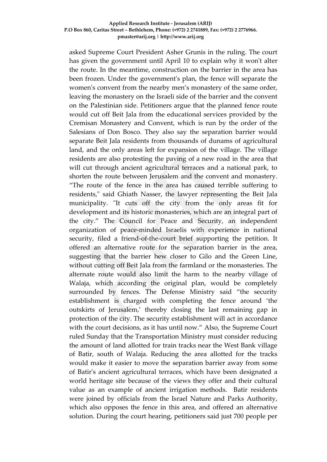#### **Applied Research Institute - Jerusalem (ARIJ) P.O Box 860, Caritas Street – Bethlehem, Phone: (+972) 2 2741889, Fax: (+972) 2 2776966. pmaster@arij.org | http://www.arij.org**

asked Supreme Court President Asher Grunis in the ruling. The court has given the government until April 10 to explain why it won't alter the route. In the meantime, construction on the barrier in the area has been frozen. Under the government's plan, the fence will separate the women's convent from the nearby men's monastery of the same order, leaving the monastery on the Israeli side of the barrier and the convent on the Palestinian side. Petitioners argue that the planned fence route would cut off Beit Jala from the educational services provided by the Cremisan Monastery and Convent, which is run by the order of the Salesians of Don Bosco. They also say the separation barrier would separate Beit Jala residents from thousands of dunams of agricultural land, and the only areas left for expansion of the village. The village residents are also protesting the paving of a new road in the area that will cut through ancient agricultural terraces and a national park, to shorten the route between Jerusalem and the convent and monastery. "The route of the fence in the area has caused terrible suffering to residents," said Ghiath Nasser, the lawyer representing the Beit Jala municipality. "It cuts off the city from the only areas fit for development and its historic monasteries, which are an integral part of the city." The Council for Peace and Security, an independent organization of peace-minded Israelis with experience in national security, filed a friend-of-the-court brief supporting the petition. It offered an alternative route for the separation barrier in the area, suggesting that the barrier hew closer to Gilo and the Green Line, without cutting off Beit Jala from the farmland or the monasteries. The alternate route would also limit the harm to the nearby village of Walaja, which according the original plan, would be completely surrounded by fences. The Defense Ministry said "the security establishment is charged with completing the fence around 'the outskirts of Jerusalem,' thereby closing the last remaining gap in protection of the city. The security establishment will act in accordance with the court decisions, as it has until now." Also, the Supreme Court ruled Sunday that the Transportation Ministry must consider reducing the amount of land allotted for train tracks near the West Bank village of Batir, south of Walaja. Reducing the area allotted for the tracks would make it easier to move the separation barrier away from some of Batir's ancient agricultural terraces, which have been designated a world heritage site because of the views they offer and their cultural value as an example of ancient irrigation methods. Batir residents were joined by officials from the Israel Nature and Parks Authority, which also opposes the fence in this area, and offered an alternative solution. During the court hearing, petitioners said just 700 people per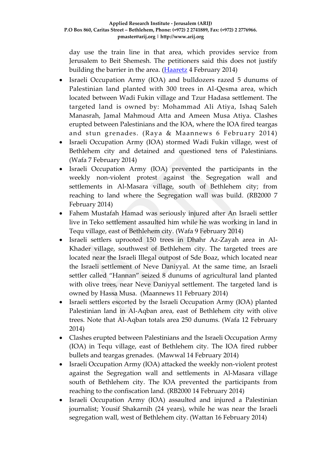day use the train line in that area, which provides service from Jerusalem to Beit Shemesh. The petitioners said this does not justify building the barrier in the area. [\(Haaretz](http://www.haaretz.com/news/diplomacy-defense/.premium-1.572267) 4 February 2014)

- Israeli Occupation Army (IOA) and bulldozers razed 5 dunums of Palestinian land planted with 300 trees in Al-Qesma area, which located between Wadi Fukin village and Tzur Hadasa settlement. The targeted land is owned by: Mohammad Ali Atiya, Ishaq Saleh Manasrah, Jamal Mahmoud Atta and Ameen Musa Atiya. Clashes erupted between Palestinians and the IOA, where the IOA fired teargas and stun grenades. (Raya & Maannews 6 February 2014)
- Israeli Occupation Army (IOA) stormed Wadi Fukin village, west of Bethlehem city and detained and questioned tens of Palestinians. (Wafa 7 February 2014)
- Israeli Occupation Army (IOA) prevented the participants in the weekly non-violent protest against the Segregation wall and settlements in Al-Masara village, south of Bethlehem city; from reaching to land where the Segregation wall was build. (RB2000 7 February 2014)
- Fahem Mustafah Hamad was seriously injured after An Israeli settler live in Teko settlement assaulted him while he was working in land in Tequ village, east of Bethlehem city. (Wafa 9 February 2014)
- Israeli settlers uprooted 150 trees in Dhahr Az-Zayah area in Al-Khader village, southwest of Bethlehem city. The targeted trees are located near the Israeli Illegal outpost of Sde Boaz, which located near the Israeli settlement of Neve Daniyyal. At the same time, an Israeli settler called "Hannan" seized 8 dunums of agricultural land planted with olive trees, near Neve Daniyyal settlement. The targeted land is owned by Hassa Musa. (Maannews 11 February 2014)
- Israeli settlers escorted by the Israeli Occupation Army (IOA) planted Palestinian land in Al-Aqban area, east of Bethlehem city with olive trees. Note that Al-Aqban totals area 250 dunums. (Wafa 12 February 2014)
- Clashes erupted between Palestinians and the Israeli Occupation Army (IOA) in Tequ village, east of Bethlehem city. The IOA fired rubber bullets and teargas grenades. (Mawwal 14 February 2014)
- Israeli Occupation Army (IOA) attacked the weekly non-violent protest against the Segregation wall and settlements in Al-Masara village south of Bethlehem city. The IOA prevented the participants from reaching to the confiscation land. (RB2000 14 February 2014)
- Israeli Occupation Army (IOA) assaulted and injured a Palestinian journalist; Yousif Shakarnih (24 years), while he was near the Israeli segregation wall, west of Bethlehem city. (Wattan 16 February 2014)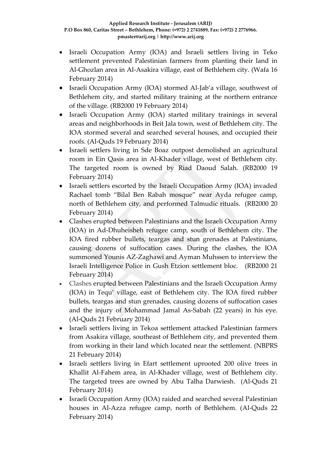- Israeli Occupation Army (IOA) and Israeli settlers living in Teko settlement prevented Palestinian farmers from planting their land in Al-Ghozlan area in Al-Asakira village, east of Bethlehem city. (Wafa 16 February 2014)
- Israeli Occupation Army (IOA) stormed Al-Jab'a village, southwest of Bethlehem city, and started military training at the northern entrance of the village. (RB2000 19 February 2014)
- Israeli Occupation Army (IOA) started military trainings in several areas and neighborhoods in Beit Jala town, west of Bethlehem city. The IOA stormed several and searched several houses, and occupied their roofs. (Al-Quds 19 February 2014)
- Israeli settlers living in Sde Boaz outpost demolished an agricultural room in Ein Qasis area in Al-Khader village, west of Bethlehem city. The targeted room is owned by Riad Daoud Salah. (RB2000 19 February 2014)
- Israeli settlers escorted by the Israeli Occupation Army (IOA) invaded Rachael tomb "Bilal Ben Rabah mosque" near Ayda refugee camp, north of Bethlehem city, and performed Talmudic rituals. (RB2000 20 February 2014)
- Clashes erupted between Palestinians and the Israeli Occupation Army (IOA) in Ad-Dhuheisheh refugee camp, south of Bethlehem city. The IOA fired rubber bullets, teargas and stun grenades at Palestinians, causing dozens of suffocation cases. During the clashes, the IOA summoned Younis AZ-Zaghawi and Ayman Muhssen to interview the Israeli Intelligence Police in Gush Etzion settlement bloc. (RB2000 21 February 2014)
- Clashes erupted between Palestinians and the Israeli Occupation Army (IOA) in Tequ' village, east of Bethlehem city. The IOA fired rubber bullets, teargas and stun grenades, causing dozens of suffocation cases and the injury of Mohammad Jamal As-Sabah (22 years) in his eye. (Al-Quds 21 February 2014)
- Israeli settlers living in Tekoa settlement attacked Palestinian farmers from Asakira village, southeast of Bethlehem city, and prevented them from working in their land which located near the settlement. (NBPRS 21 February 2014)
- Israeli settlers living in Efart settlement uprooted 200 olive trees in Khallit Al-Fahem area, in Al-Khader village, west of Bethlehem city. The targeted trees are owned by Abu Talha Darwiesh. (Al-Quds 21 February 2014)
- Israeli Occupation Army (IOA) raided and searched several Palestinian houses in Al-Azza refugee camp, north of Bethlehem. (Al-Quds 22 February 2014)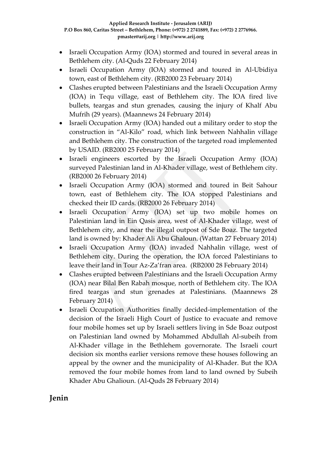- Israeli Occupation Army (IOA) stormed and toured in several areas in Bethlehem city. (Al-Quds 22 February 2014)
- Israeli Occupation Army (IOA) stormed and toured in Al-Ubidiya town, east of Bethlehem city. (RB2000 23 February 2014)
- Clashes erupted between Palestinians and the Israeli Occupation Army (IOA) in Tequ village, east of Bethlehem city. The IOA fired live bullets, teargas and stun grenades, causing the injury of Khalf Abu Mufrih (29 years). (Maannews 24 February 2014)
- Israeli Occupation Army (IOA) handed out a military order to stop the construction in "Al-Kilo" road, which link between Nahhalin village and Bethlehem city. The construction of the targeted road implemented by USAID. (RB2000 25 February 2014)
- Israeli engineers escorted by the Israeli Occupation Army (IOA) surveyed Palestinian land in Al-Khader village, west of Bethlehem city. (RB2000 26 February 2014)
- Israeli Occupation Army (IOA) stormed and toured in Beit Sahour town, east of Bethlehem city. The IOA stopped Palestinians and checked their ID cards. (RB2000 26 February 2014)
- Israeli Occupation Army (IOA) set up two mobile homes on Palestinian land in Ein Qasis area, west of Al-Khader village, west of Bethlehem city, and near the illegal outpost of Sde Boaz. The targeted land is owned by: Khader Ali Abu Ghaloun. (Wattan 27 February 2014)
- Israeli Occupation Army (IOA) invaded Nahhalin village, west of Bethlehem city. During the operation, the IOA forced Palestinians to leave their land in Tour Az-Za'fran area. (RB2000 28 February 2014)
- Clashes erupted between Palestinians and the Israeli Occupation Army (IOA) near Bilal Ben Rabah mosque, north of Bethlehem city. The IOA fired teargas and stun grenades at Palestinians. (Maannews 28 February 2014)
- Israeli Occupation Authorities finally decided-implementation of the decision of the Israeli High Court of Justice to evacuate and remove four mobile homes set up by Israeli settlers living in Sde Boaz outpost on Palestinian land owned by Mohammed Abdullah Al-subeih from Al-Khader village in the Bethlehem governorate. The Israeli court decision six months earlier versions remove these houses following an appeal by the owner and the municipality of Al-Khader. But the IOA removed the four mobile homes from land to land owned by Subeih Khader Abu Ghalioun. (Al-Quds 28 February 2014)

# **Jenin**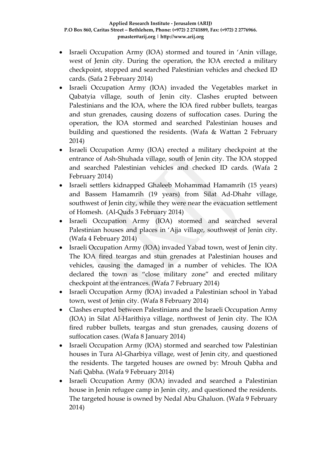- Israeli Occupation Army (IOA) stormed and toured in 'Anin village, west of Jenin city. During the operation, the IOA erected a military checkpoint, stopped and searched Palestinian vehicles and checked ID cards. (Safa 2 February 2014)
- Israeli Occupation Army (IOA) invaded the Vegetables market in Qabatyia village, south of Jenin city. Clashes erupted between Palestinians and the IOA, where the IOA fired rubber bullets, teargas and stun grenades, causing dozens of suffocation cases. During the operation, the IOA stormed and searched Palestinian houses and building and questioned the residents. (Wafa & Wattan 2 February 2014)
- Israeli Occupation Army (IOA) erected a military checkpoint at the entrance of Ash-Shuhada village, south of Jenin city. The IOA stopped and searched Palestinian vehicles and checked ID cards. (Wafa 2 February 2014)
- Israeli settlers kidnapped Ghaleeb Mohammad Hamamrih (15 years) and Bassem Hamamrih (19 years) from Silat Ad-Dhahr village, southwest of Jenin city, while they were near the evacuation settlement of Homesh. (Al-Quds 3 February 2014)
- Israeli Occupation Army (IOA) stormed and searched several Palestinian houses and places in 'Ajja village, southwest of Jenin city. (Wafa 4 February 2014)
- Israeli Occupation Army (IOA) invaded Yabad town, west of Jenin city. The IOA fired teargas and stun grenades at Palestinian houses and vehicles, causing the damaged in a number of vehicles. The IOA declared the town as "close military zone" and erected military checkpoint at the entrances. (Wafa 7 February 2014)
- Israeli Occupation Army (IOA) invaded a Palestinian school in Yabad town, west of Jenin city. (Wafa 8 February 2014)
- Clashes erupted between Palestinians and the Israeli Occupation Army (IOA) in Silat Al-Harithiya village, northwest of Jenin city. The IOA fired rubber bullets, teargas and stun grenades, causing dozens of suffocation cases. (Wafa 8 January 2014)
- Israeli Occupation Army (IOA) stormed and searched tow Palestinian houses in Tura Al-Gharbiya village, west of Jenin city, and questioned the residents. The targeted houses are owned by: Mrouh Qabha and Nafi Qabha. (Wafa 9 February 2014)
- Israeli Occupation Army (IOA) invaded and searched a Palestinian house in Jenin refugee camp in Jenin city, and questioned the residents. The targeted house is owned by Nedal Abu Ghaluon. (Wafa 9 February 2014)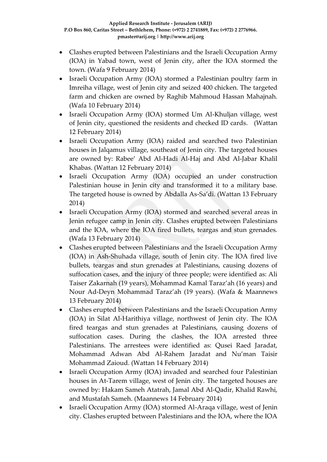- Clashes erupted between Palestinians and the Israeli Occupation Army (IOA) in Yabad town, west of Jenin city, after the IOA stormed the town. (Wafa 9 February 2014)
- Israeli Occupation Army (IOA) stormed a Palestinian poultry farm in Imreiha village, west of Jenin city and seized 400 chicken. The targeted farm and chicken are owned by Raghib Mahmoud Hassan Mahajnah. (Wafa 10 February 2014)
- Israeli Occupation Army (IOA) stormed Um Al-Khuljan village, west of Jenin city, questioned the residents and checked ID cards. (Wattan 12 February 2014)
- Israeli Occupation Army (IOA) raided and searched two Palestinian houses in Jalqamus village, southeast of Jenin city. The targeted houses are owned by: Rabee' Abd Al-Hadi Al-Haj and Abd Al-Jabar Khalil Khabas. (Wattan 12 February 2014)
- Israeli Occupation Army (IOA) occupied an under construction Palestinian house in Jenin city and transformed it to a military base. The targeted house is owned by Abdalla As-Sa'di. (Wattan 13 February 2014)
- Israeli Occupation Army (IOA) stormed and searched several areas in Jenin refugee camp in Jenin city. Clashes erupted between Palestinians and the IOA, where the IOA fired bullets, teargas and stun grenades. (Wafa 13 February 2014)
- Clashes erupted between Palestinians and the Israeli Occupation Army (IOA) in Ash-Shuhada village, south of Jenin city. The IOA fired live bullets, teargas and stun grenades at Palestinians, causing dozens of suffocation cases, and the injury of three people; were identified as: Ali Taiser Zakarnah (19 years), Mohammad Kamal Taraz'ah (16 years) and Nour Ad-Deyn Mohammad Taraz'ah (19 years). (Wafa & Maannews 13 February 2014)
- Clashes erupted between Palestinians and the Israeli Occupation Army (IOA) in Silat Al-Harithiya village, northwest of Jenin city. The IOA fired teargas and stun grenades at Palestinians, causing dozens of suffocation cases. During the clashes, the IOA arrested three Palestinians. The arrestees were identified as: Qusei Raed Jaradat, Mohammad Adwan Abd Al-Rahem Jaradat and Nu'man Taisir Mohammad Zaioud. (Wattan 14 February 2014)
- Israeli Occupation Army (IOA) invaded and searched four Palestinian houses in At-Tarem village, west of Jenin city. The targeted houses are owned by: Hakam Sameh Atatrah, Jamal Abd Al-Qadir, Khalid Rawhi, and Mustafah Sameh. (Maannews 14 February 2014)
- Israeli Occupation Army (IOA) stormed Al-Araqa village, west of Jenin city. Clashes erupted between Palestinians and the IOA, where the IOA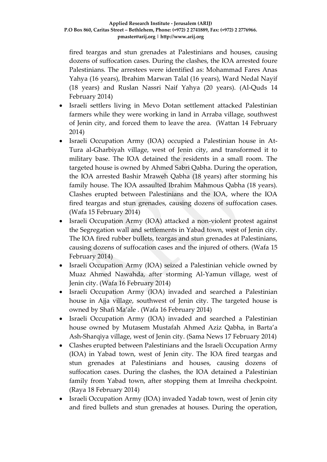fired teargas and stun grenades at Palestinians and houses, causing dozens of suffocation cases. During the clashes, the IOA arrested foure Palestinians. The arrestees were identified as: Mohammad Fares Anas Yahya (16 years), Ibrahim Marwan Talal (16 years), Ward Nedal Nayif (18 years) and Ruslan Nassri Naif Yahya (20 years). (Al-Quds 14 February 2014)

- Israeli settlers living in Mevo Dotan settlement attacked Palestinian farmers while they were working in land in Arraba village, southwest of Jenin city, and forced them to leave the area. (Wattan 14 February 2014)
- Israeli Occupation Army (IOA) occupied a Palestinian house in At-Tura al-Gharbiyah village, west of Jenin city, and transformed it to military base. The IOA detained the residents in a small room. The targeted house is owned by Ahmed Sabri Qabha. During the operation, the IOA arrested Bashir Mraweh Qabha (18 years) after storming his family house. The IOA assaulted Ibrahim Mahmous Qabha (18 years). Clashes erupted between Palestinians and the IOA, where the IOA fired teargas and stun grenades, causing dozens of suffocation cases. (Wafa 15 February 2014)
- Israeli Occupation Army (IOA) attacked a non-violent protest against the Segregation wall and settlements in Yabad town, west of Jenin city. The IOA fired rubber bullets, teargas and stun grenades at Palestinians, causing dozens of suffocation cases and the injured of others. (Wafa 15 February 2014)
- Israeli Occupation Army (IOA) seized a Palestinian vehicle owned by Muaz Ahmed Nawahda, after storming Al-Yamun village, west of Jenin city. (Wafa 16 February 2014)
- Israeli Occupation Army (IOA) invaded and searched a Palestinian house in Ajja village, southwest of Jenin city. The targeted house is owned by Shafi Ma'ale . (Wafa 16 February 2014)
- Israeli Occupation Army (IOA) invaded and searched a Palestinian house owned by Mutasem Mustafah Ahmed Aziz Qabha, in Barta'a Ash-Sharqiya village, west of Jenin city. (Sama News 17 February 2014)
- Clashes erupted between Palestinians and the Israeli Occupation Army (IOA) in Yabad town, west of Jenin city. The IOA fired teargas and stun grenades at Palestinians and houses, causing dozens of suffocation cases. During the clashes, the IOA detained a Palestinian family from Yabad town, after stopping them at Imreiha checkpoint. (Raya 18 February 2014)
- Israeli Occupation Army (IOA) invaded Yadab town, west of Jenin city and fired bullets and stun grenades at houses. During the operation,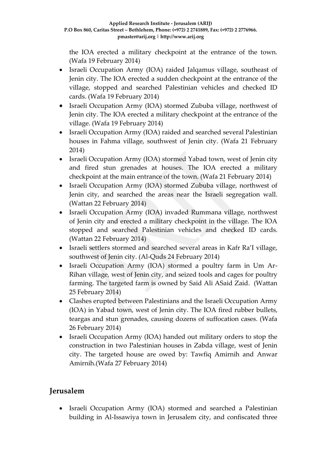the IOA erected a military checkpoint at the entrance of the town. (Wafa 19 February 2014)

- Israeli Occupation Army (IOA) raided Jalqamus village, southeast of Jenin city. The IOA erected a sudden checkpoint at the entrance of the village, stopped and searched Palestinian vehicles and checked ID cards. (Wafa 19 February 2014)
- Israeli Occupation Army (IOA) stormed Zububa village, northwest of Jenin city. The IOA erected a military checkpoint at the entrance of the village. (Wafa 19 February 2014)
- Israeli Occupation Army (IOA) raided and searched several Palestinian houses in Fahma village, southwest of Jenin city. (Wafa 21 February 2014)
- Israeli Occupation Army (IOA) stormed Yabad town, west of Jenin city and fired stun grenades at houses. The IOA erected a military checkpoint at the main entrance of the town. (Wafa 21 February 2014)
- Israeli Occupation Army (IOA) stormed Zububa village, northwest of Jenin city, and searched the areas near the Israeli segregation wall. (Wattan 22 February 2014)
- Israeli Occupation Army (IOA) invaded Rummana village, northwest of Jenin city and erected a military checkpoint in the village. The IOA stopped and searched Palestinian vehicles and checked ID cards. (Wattan 22 February 2014)
- Israeli settlers stormed and searched several areas in Kafr Ra'I village, southwest of Jenin city. (Al-Quds 24 February 2014)
- Israeli Occupation Army (IOA) stormed a poultry farm in Um Ar-Rihan village, west of Jenin city, and seized tools and cages for poultry farming. The targeted farm is owned by Said Ali ASaid Zaid. (Wattan 25 February 2014)
- Clashes erupted between Palestinians and the Israeli Occupation Army (IOA) in Yabad town, west of Jenin city. The IOA fired rubber bullets, teargas and stun grenades, causing dozens of suffocation cases. (Wafa 26 February 2014)
- Israeli Occupation Army (IOA) handed out military orders to stop the construction in two Palestinian houses in Zabda village, west of Jenin city. The targeted house are owed by: Tawfiq Amirnih and Anwar Amirnih.(Wafa 27 February 2014)

# **Jerusalem**

 Israeli Occupation Army (IOA) stormed and searched a Palestinian building in Al-Issawiya town in Jerusalem city, and confiscated three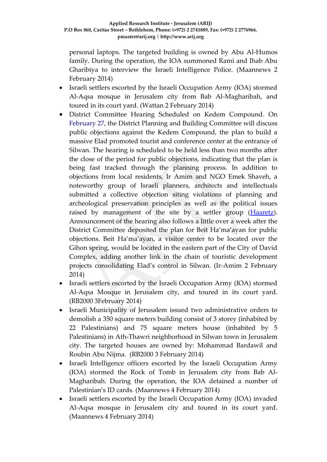personal laptops. The targeted building is owned by Abu Al-Humos family. During the operation, the IOA summoned Rami and Ihab Abu Gharibiya to interview the Israeli Intelligence Police. (Maannews 2 February 2014)

- Israeli settlers escorted by the Israeli Occupation Army (IOA) stormed Al-Aqsa mosque in Jerusalem city from Bab Al-Magharibah, and toured in its court yard. (Wattan 2 February 2014)
- District Committee Hearing Scheduled on Kedem Compound. On February 27, the District Planning and Building Committee will discuss public objections against the Kedem Compound, the plan to build a massive Elad promoted tourist and conference center at the entrance of Silwan. The hearing is scheduled to be held less than two months after the close of the period for public objections, indicating that the plan is being fast tracked through the planning process. In addition to objections from local residents, Ir Amim and NGO Emek Shaveh, a noteworthy group of Israeli planners, architects and intellectuals submitted a collective objection siting violations of planning and archeological preservation principles as well as the political issues raised by management of the site by a settler group [\(Haaretz\)](http://www.haaretz.com/news/national/.premium-1.566455). Announcement of the hearing also follows a little over a week after the District Committee deposited the plan for Beit Ha'ma'ayan for public objections. Beit Ha'ma'ayan, a visitor center to be located over the Gihon spring, would be located in the eastern part of the City of David Complex, adding another link in the chain of touristic development projects consolidating Elad's control in Silwan. (Ir-Amim 2 February 2014)
- Israeli settlers escorted by the Israeli Occupation Army (IOA) stormed Al-Aqsa Mosque in Jerusalem city, and toured in its court yard. (RB2000 3February 2014)
- Israeli Municipality of Jerusalem issued two administrative orders to demolish a 350 square meters building consist of 3 storey (inhabited by 22 Palestinians) and 75 square meters house (inhabited by 5 Palestinians) in Ath-Thawri neighborhood in Silwan town in Jerusalem city. The targeted houses are owned by: Mohammad Bardawil and Roubin Abu Nijma. (RB2000 3 February 2014)
- Israeli Intelligence officers escorted by the Israeli Occupation Army (IOA) stormed the Rock of Tomb in Jerusalem city from Bab Al-Magharibah. During the operation, the IOA detained a number of Palestinian's ID cards. (Maannews 4 February 2014)
- Israeli settlers escorted by the Israeli Occupation Army (IOA) invaded Al-Aqsa mosque in Jerusalem city and toured in its court yard. (Maannews 4 February 2014)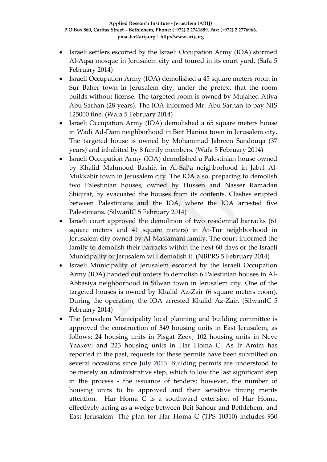- Israeli settlers escorted by the Israeli Occupation Army (IOA) stormed Al-Aqsa mosque in Jerusalem city and toured in its court yard. (Safa 5 February 2014)
- Israeli Occupation Army (IOA) demolished a 45 square meters room in Sur Baher town in Jerusalem city, under the pretext that the room builds without license. The targeted room is owned by Mujahed Atiya Abu Sarhan (28 years). The IOA informed Mr. Abu Sarhan to pay NIS 125000 fine. (Wafa 5 February 2014)
- Israeli Occupation Army (IOA) demolished a 65 square meters house in Wadi Ad-Dam neighborhood in Beit Hanina town in Jerusalem city. The targeted house is owned by Mohammad Jabreen Sandouqa (37 years) and inhabited by 8 family members. (Wafa 5 February 2014)
- Israeli Occupation Army (IOA) demolished a Palestinian house owned by Khalid Mahmoud Bashir, in Al-Sal'a neighborhood in Jabal Al-Mukkabir town in Jerusalem city. The IOA also, preparing to demolish two Palestinian houses, owned by Hussen and Nasser Ramadan Shiqirat, by evacuated the houses from its contents. Clashes erupted between Palestinians and the IOA, where the IOA arrested five Palestinians. (SilwanIC 5 February 2014)
- Israeli court approved the demolition of two residential barracks (61 square meters and 41 square meters) in At-Tur neighborhood in Jerusalem city owned by Al-Maslamani family. The court informed the family to demolish their barracks within the next 60 days or the Israeli Municipality or Jerusalem will demolish it. (NBPRS 5 February 2014)
- Israeli Municipality of Jerusalem escorted by the Israeli Occupation Army (IOA) handed out orders to demolish 6 Palestinian houses in Al-Abbasiya neighborhood in Silwan town in Jerusalem city. One of the targeted houses is owned by Khalid Az-Zair (6 square meters room). During the operation, the IOA arrested Khalid Az-Zair. (SilwanIC 5 February 2014)
- The Jerusalem Municipality local planning and building committee is approved the construction of 349 housing units in East Jerusalem, as follows: 24 housing units in Pisgat Zeev; 102 housing units in Neve Yaakov; and 223 housing units in Har Homa C. As Ir Amim has reported in the past, requests for these permits have been submitted on several occasions since July 2013. Building permits are understood to be merely an administrative step, which follow the last significant step in the process - the issuance of tenders; however, the number of housing units to be approved and their sensitive timing merits attention. Har Homa C is a southward extension of Har Homa, effectively acting as a wedge between Beit Sahour and Bethlehem, and East Jerusalem. The plan for Har Homa C (TPS 10310) includes 930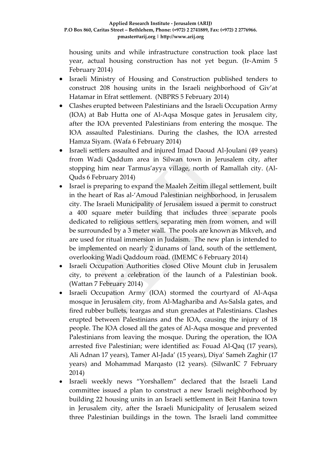housing units and while infrastructure construction took place last year, actual housing construction has not yet begun. (Ir-Amim 5 February 2014)

- Israeli Ministry of Housing and Construction published tenders to construct 208 housing units in the Israeli neighborhood of Giv'at Hatamar in Efrat settlement. (NBPRS 5 February 2014)
- Clashes erupted between Palestinians and the Israeli Occupation Army (IOA) at Bab Hutta one of Al-Aqsa Mosque gates in Jerusalem city, after the IOA prevented Palestinians from entering the mosque. The IOA assaulted Palestinians. During the clashes, the IOA arrested Hamza Siyam. (Wafa 6 February 2014)
- Israeli settlers assaulted and injured Imad Daoud Al-Joulani (49 years) from Wadi Qaddum area in Silwan town in Jerusalem city, after stopping him near Tarmus'ayya village, north of Ramallah city. (Al-Quds 6 February 2014)
- Israel is preparing to expand the Maaleh Zeitim illegal settlement, built in the heart of Ras al-'Amoud Palestinian neighborhood, in Jerusalem city. The Israeli Municipality of Jerusalem issued a permit to construct a 400 square meter building that includes three separate pools dedicated to religious settlers, separating men from women, and will be surrounded by a 3 meter wall. The pools are known as Mikveh, and are used for ritual immersion in Judaism. The new plan is intended to be implemented on nearly 2 dunams of land, south of the settlement, overlooking Wadi Qaddoum road. (IMEMC 6 February 2014)
- Israeli Occupation Authorities closed Olive Mount club in Jerusalem city, to prevent a celebration of the launch of a Palestinian book. (Wattan 7 February 2014)
- Israeli Occupation Army (IOA) stormed the courtyard of Al-Aqsa mosque in Jerusalem city, from Al-Maghariba and As-Salsla gates, and fired rubber bullets, teargas and stun grenades at Palestinians. Clashes erupted between Palestinians and the IOA, causing the injury of 18 people. The IOA closed all the gates of Al-Aqsa mosque and prevented Palestinians from leaving the mosque. During the operation, the IOA arrested five Palestinian; were identified as: Fouad Al-Qaq (17 years), Ali Adnan 17 years), Tamer Al-Jada' (15 years), Diya' Sameh Zaghir (17 years) and Mohammad Marqasto (12 years). (SilwanIC 7 February 2014)
- Israeli weekly news "Yorshallem" declared that the Israeli Land committee issued a plan to construct a new Israeli neighborhood by building 22 housing units in an Israeli settlement in Beit Hanina town in Jerusalem city, after the Israeli Municipality of Jerusalem seized three Palestinian buildings in the town. The Israeli land committee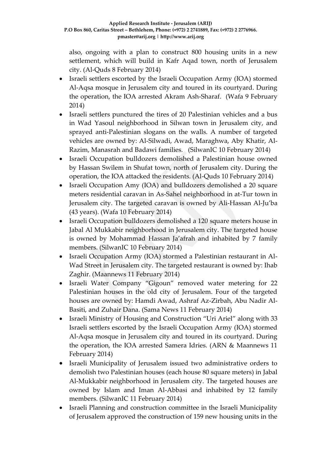also, ongoing with a plan to construct 800 housing units in a new settlement, which will build in Kafr Aqad town, north of Jerusalem city. (Al-Quds 8 February 2014)

- Israeli settlers escorted by the Israeli Occupation Army (IOA) stormed Al-Aqsa mosque in Jerusalem city and toured in its courtyard. During the operation, the IOA arrested Akram Ash-Sharaf. (Wafa 9 February 2014)
- Israeli settlers punctured the tires of 20 Palestinian vehicles and a bus in Wad Yasoul neighborhood in Silwan town in Jerusalem city, and sprayed anti-Palestinian slogans on the walls. A number of targeted vehicles are owned by: Al-Silwadi, Awad, Maraghwa, Aby Khatir, Al-Razim, Manasrah and Badawi families. (SilwanIC 10 February 2014)
- Israeli Occupation bulldozers demolished a Palestinian house owned by Hassan Swilem in Shufat town, north of Jerusalem city. During the operation, the IOA attacked the residents. (Al-Quds 10 February 2014)
- Israeli Occupation Amy (IOA) and bulldozers demolished a 20 square meters residential caravan in As-Sahel neighborhood in at-Tur town in Jerusalem city. The targeted caravan is owned by Ali-Hassan Al-Ju'ba (43 years). (Wafa 10 February 2014)
- Israeli Occupation bulldozers demolished a 120 square meters house in Jabal Al Mukkabir neighborhood in Jerusalem city. The targeted house is owned by Mohammad Hassan Ja'afrah and inhabited by 7 family members. (SilwanIC 10 February 2014)
- Israeli Occupation Army (IOA) stormed a Palestinian restaurant in Al-Wad Street in Jerusalem city. The targeted restaurant is owned by: Ihab Zaghir. (Maannews 11 February 2014)
- Israeli Water Company "Gigoun" removed water metering for 22 Palestinian houses in the old city of Jerusalem. Four of the targeted houses are owned by: Hamdi Awad, Ashraf Az-Zirbah, Abu Nadir Al-Basiti, and Zuhair Dana. (Sama News 11 February 2014)
- Israeli Ministry of Housing and Construction "Uri Ariel" along with 33 Israeli settlers escorted by the Israeli Occupation Army (IOA) stormed Al-Aqsa mosque in Jerusalem city and toured in its courtyard. During the operation, the IOA arrested Samera Idries. (ARN & Maannews 11 February 2014)
- Israeli Municipality of Jerusalem issued two administrative orders to demolish two Palestinian houses (each house 80 square meters) in Jabal Al-Mukkabir neighborhood in Jerusalem city. The targeted houses are owned by Islam and Iman Al-Abbasi and inhabited by 12 family members. (SilwanIC 11 February 2014)
- Israeli Planning and construction committee in the Israeli Municipality of Jerusalem approved the construction of 159 new housing units in the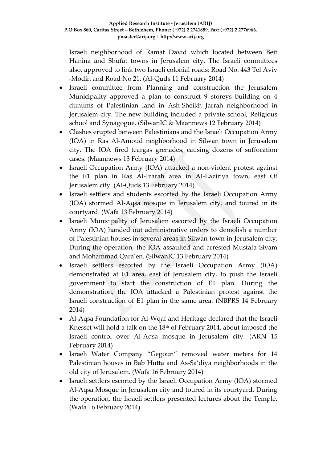Israeli neighborhood of Ramat David which located between Beit Hanina and Shufat towns in Jerusalem city. The Israeli committees also, approved to link two Israeli colonial roads; Road No. 443 Tel Aviv -Modin and Road No 21. (Al-Quds 11 February 2014)

- Israeli committee from Planning and construction the Jerusalem Municipality approved a plan to construct 9 storeys building on 4 dunums of Palestinian land in Ash-Sheikh Jarrah neighborhood in Jerusalem city. The new building included a private school, Religious school and Synagogue. (SilwanIC & Maannews 12 February 2014)
- Clashes erupted between Palestinians and the Israeli Occupation Army (IOA) in Ras Al-Amoud neighborhood in Silwan town in Jerusalem city. The IOA fired teargas grenades, causing dozens of suffocation cases. (Maannews 13 February 2014)
- Israeli Occupation Army (IOA) attacked a non-violent protest against the E1 plan in Ras Al-Izarah area in Al-Eaziriya town, east Of Jerusalem city. (Al-Quds 13 February 2014)
- Israeli settlers and students escorted by the Israeli Occupation Army (IOA) stormed Al-Aqsa mosque in Jerusalem city, and toured in its courtyard. (Wafa 13 February 2014)
- Israeli Municipality of Jerusalem escorted by the Israeli Occupation Army (IOA) handed out administrative orders to demolish a number of Palestinian houses in several areas in Silwan town in Jerusalem city. During the operation, the IOA assaulted and arrested Mustafa Siyam and Mohammad Qara'en. (SilwanIC 13 February 2014)
- Israeli settlers escorted by the Israeli Occupation Army (IOA) demonstrated at E1 area, east of Jerusalem city, to push the Israeli government to start the construction of E1 plan. During the demonstration, the IOA attacked a Palestinian protest against the Israeli construction of E1 plan in the same area. (NBPRS 14 February 2014)
- Al-Aqsa Foundation for Al-Wqaf and Heritage declared that the Israeli Knesset will hold a talk on the  $18<sup>th</sup>$  of February 2014, about imposed the Israeli control over Al-Aqsa mosque in Jerusalem city. (ARN 15 February 2014)
- Israeli Water Company "Gegoun" removed water meters for 14 Palestinian houses in Bab Hutta and As-Sa'diya neighborhoods in the old city of Jerusalem. (Wafa 16 February 2014)
- Israeli settlers escorted by the Israeli Occupation Army (IOA) stormed Al-Aqsa Mosque in Jerusalem city and toured in its courtyard. During the operation, the Israeli settlers presented lectures about the Temple. (Wafa 16 February 2014)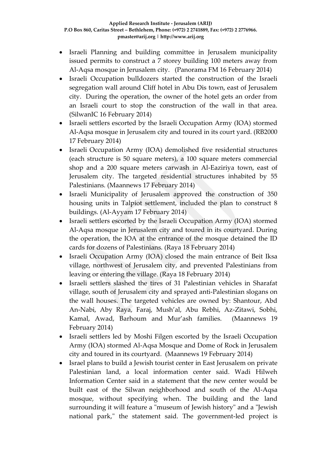- Israeli Planning and building committee in Jerusalem municipality issued permits to construct a 7 storey building 100 meters away from Al-Aqsa mosque in Jerusalem city. (Panorama FM 16 February 2014)
- Israeli Occupation bulldozers started the construction of the Israeli segregation wall around Cliff hotel in Abu Dis town, east of Jerusalem city. During the operation, the owner of the hotel gets an order from an Israeli court to stop the construction of the wall in that area. (SilwanIC 16 February 2014)
- Israeli settlers escorted by the Israeli Occupation Army (IOA) stormed Al-Aqsa mosque in Jerusalem city and toured in its court yard. (RB2000 17 February 2014)
- Israeli Occupation Army (IOA) demolished five residential structures (each structure is 50 square meters), a 100 square meters commercial shop and a 200 square meters carwash in Al-Eaziriya town, east of Jerusalem city. The targeted residential structures inhabited by 55 Palestinians. (Maannews 17 February 2014)
- Israeli Municipality of Jerusalem approved the construction of 350 housing units in Talpiot settlement, included the plan to construct 8 buildings. (Al-Ayyam 17 February 2014)
- Israeli settlers escorted by the Israeli Occupation Army (IOA) stormed Al-Aqsa mosque in Jerusalem city and toured in its courtyard. During the operation, the IOA at the entrance of the mosque detained the ID cards for dozens of Palestinians. (Raya 18 February 2014)
- Israeli Occupation Army (IOA) closed the main entrance of Beit Iksa village, northwest of Jerusalem city, and prevented Palestinians from leaving or entering the village. (Raya 18 February 2014)
- Israeli settlers slashed the tires of 31 Palestinian vehicles in Sharafat village, south of Jerusalem city and sprayed anti-Palestinian slogans on the wall houses. The targeted vehicles are owned by: Shantour, Abd An-Nabi, Aby Raya, Faraj, Mush'al, Abu Rebhi, Az-Zitawi, Sobhi, Kamal, Awad, Barhoum and Mur'ash families. (Maannews 19 February 2014)
- Israeli settlers led by Moshi Filgen escorted by the Israeli Occupation Army (IOA) stormed Al-Aqsa Mosque and Dome of Rock in Jerusalem city and toured in its courtyard. (Maannews 19 February 2014)
- Israel plans to build a Jewish tourist center in East Jerusalem on private Palestinian land, a local information center said. Wadi Hilweh Information Center said in a statement that the new center would be built east of the Silwan neighborhood and south of the Al-Aqsa mosque, without specifying when. The building and the land surrounding it will feature a "museum of Jewish history" and a "Jewish national park," the statement said. The government-led project is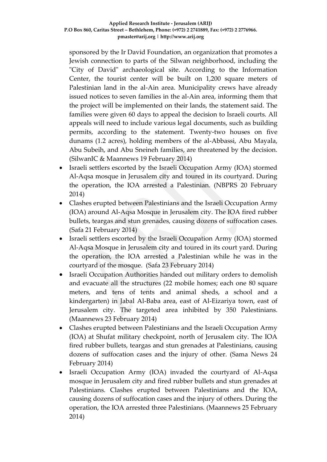sponsored by the Ir David Foundation, an organization that promotes a Jewish connection to parts of the Silwan neighborhood, including the "City of David" archaeological site. According to the Information Center, the tourist center will be built on 1,200 square meters of Palestinian land in the al-Ain area. Municipality crews have already issued notices to seven families in the al-Ain area, informing them that the project will be implemented on their lands, the statement said. The families were given 60 days to appeal the decision to Israeli courts. All appeals will need to include various legal documents, such as building permits, according to the statement. Twenty-two houses on five dunams (1.2 acres), holding members of the al-Abbassi, Abu Mayala, Abu Subeih, and Abu Sneineh families, are threatened by the decision. (SilwanIC & Maannews 19 February 2014)

- Israeli settlers escorted by the Israeli Occupation Army (IOA) stormed Al-Aqsa mosque in Jerusalem city and toured in its courtyard. During the operation, the IOA arrested a Palestinian. (NBPRS 20 February 2014)
- Clashes erupted between Palestinians and the Israeli Occupation Army (IOA) around Al-Aqsa Mosque in Jerusalem city. The IOA fired rubber bullets, teargas and stun grenades, causing dozens of suffocation cases. (Safa 21 February 2014)
- Israeli settlers escorted by the Israeli Occupation Army (IOA) stormed Al-Aqsa Mosque in Jerusalem city and toured in its court yard. During the operation, the IOA arrested a Palestinian while he was in the courtyard of the mosque. (Safa 23 February 2014)
- Israeli Occupation Authorities handed out military orders to demolish and evacuate all the structures (22 mobile homes; each one 80 square meters, and tens of tents and animal sheds, a school and a kindergarten) in Jabal Al-Baba area, east of Al-Eizariya town, east of Jerusalem city. The targeted area inhibited by 350 Palestinians. (Maannews 23 February 2014)
- Clashes erupted between Palestinians and the Israeli Occupation Army (IOA) at Shufat military checkpoint, north of Jerusalem city. The IOA fired rubber bullets, teargas and stun grenades at Palestinians, causing dozens of suffocation cases and the injury of other. (Sama News 24 February 2014)
- Israeli Occupation Army (IOA) invaded the courtyard of Al-Aqsa mosque in Jerusalem city and fired rubber bullets and stun grenades at Palestinians. Clashes erupted between Palestinians and the IOA, causing dozens of suffocation cases and the injury of others. During the operation, the IOA arrested three Palestinians. (Maannews 25 February 2014)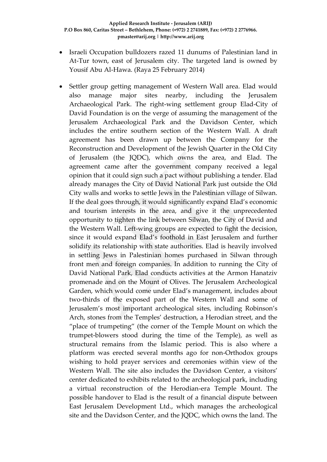- Israeli Occupation bulldozers razed 11 dunums of Palestinian land in At-Tur town, east of Jerusalem city. The targeted land is owned by Yousif Abu Al-Hawa. (Raya 25 February 2014)
- Settler group getting management of Western Wall area. Elad would also manage major sites nearby, including the Jerusalem Archaeological Park. The right-wing settlement group Elad-City of David Foundation is on the verge of assuming the management of the Jerusalem Archaeological Park and the Davidson Center, which includes the entire southern section of the Western Wall. A draft agreement has been drawn up between the Company for the Reconstruction and Development of the Jewish Quarter in the Old City of Jerusalem (the JQDC), which owns the area, and Elad. The agreement came after the government company received a legal opinion that it could sign such a pact without publishing a tender. Elad already manages the City of David National Park just outside the Old City walls and works to settle Jews in the Palestinian village of Silwan. If the deal goes through, it would significantly expand Elad's economic and tourism interests in the area, and give it the unprecedented opportunity to tighten the link between Silwan, the City of David and the Western Wall. Left-wing groups are expected to fight the decision, since it would expand Elad's foothold in East Jerusalem and further solidify its relationship with state authorities. Elad is heavily involved in settling Jews in Palestinian homes purchased in Silwan through front men and foreign companies. In addition to running the City of David National Park, Elad conducts activities at the Armon Hanatziv promenade and on the Mount of Olives. The Jerusalem Archeological Garden, which would come under Elad's management, includes about two-thirds of the exposed part of the Western Wall and some of Jerusalem's most important archeological sites, including Robinson's Arch, stones from the Temples' destruction, a Herodian street, and the "place of trumpeting" (the corner of the Temple Mount on which the trumpet-blowers stood during the time of the Temple), as well as structural remains from the Islamic period. This is also where a platform was erected several months ago for non-Orthodox groups wishing to hold prayer services and ceremonies within view of the Western Wall. The site also includes the Davidson Center, a visitors' center dedicated to exhibits related to the archeological park, including a virtual reconstruction of the Herodian-era Temple Mount. The possible handover to Elad is the result of a financial dispute between East Jerusalem Development Ltd., which manages the archeological site and the Davidson Center, and the JQDC, which owns the land. The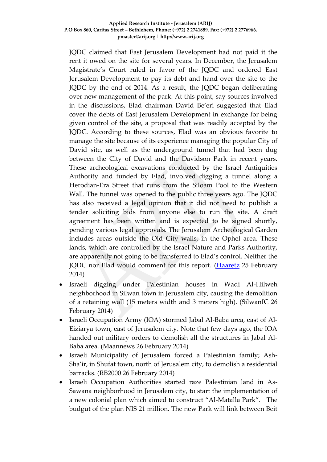### **Applied Research Institute - Jerusalem (ARIJ) P.O Box 860, Caritas Street – Bethlehem, Phone: (+972) 2 2741889, Fax: (+972) 2 2776966. pmaster@arij.org | http://www.arij.org**

JQDC claimed that East Jerusalem Development had not paid it the rent it owed on the site for several years. In December, the Jerusalem Magistrate's Court ruled in favor of the JQDC and ordered East Jerusalem Development to pay its debt and hand over the site to the JQDC by the end of 2014. As a result, the JQDC began deliberating over new management of the park. At this point, say sources involved in the discussions, Elad chairman David Be'eri suggested that Elad cover the debts of East Jerusalem Development in exchange for being given control of the site, a proposal that was readily accepted by the JQDC. According to these sources, Elad was an obvious favorite to manage the site because of its experience managing the popular City of David site, as well as the underground tunnel that had been dug between the City of David and the Davidson Park in recent years. These archeological excavations conducted by the Israel Antiquities Authority and funded by Elad, involved digging a tunnel along a Herodian-Era Street that runs from the Siloam Pool to the Western Wall. The tunnel was opened to the public three years ago. The JQDC has also received a legal opinion that it did not need to publish a tender soliciting bids from anyone else to run the site. A draft agreement has been written and is expected to be signed shortly, pending various legal approvals. The Jerusalem Archeological Garden includes areas outside the Old City walls, in the Ophel area. These lands, which are controlled by the Israel Nature and Parks Authority, are apparently not going to be transferred to Elad's control. Neither the JQDC nor Elad would comment for this report. [\(Haaretz](http://www.haaretz.com/news/national/.premium-1.576207) 25 February 2014)

- Israeli digging under Palestinian houses in Wadi Al-Hilweh neighborhood in Silwan town in Jerusalem city, causing the demolition of a retaining wall (15 meters width and 3 meters high). (SilwanIC 26 February 2014)
- Israeli Occupation Army (IOA) stormed Jabal Al-Baba area, east of Al-Eiziarya town, east of Jerusalem city. Note that few days ago, the IOA handed out military orders to demolish all the structures in Jabal Al-Baba area. (Maannews 26 February 2014)
- Israeli Municipality of Jerusalem forced a Palestinian family; Ash-Sha'ir, in Shufat town, north of Jerusalem city, to demolish a residential barracks. (RB2000 26 February 2014)
- Israeli Occupation Authorities started raze Palestinian land in As-Sawana neighborhood in Jerusalem city, to start the implementation of a new colonial plan which aimed to construct "Al-Matalla Park". The budgut of the plan NIS 21 million. The new Park will link between Beit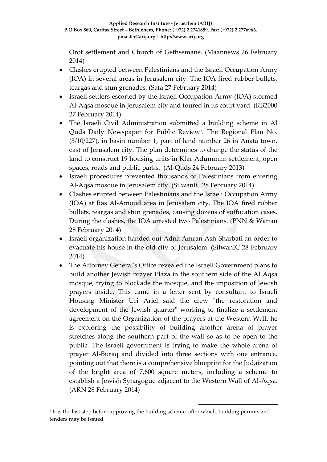Orot settlement and Church of Gethsemane. (Maannews 26 February 2014)

- Clashes erupted between Palestinians and the Israeli Occupation Army (IOA) in several areas in Jerusalem city. The IOA fired rubber bullets, teargas and stun grenades. (Safa 27 February 2014)
- Israeli settlers escorted by the Israeli Occupation Army (IOA) stormed Al-Aqsa mosque in Jerusalem city and toured in its court yard. (RB2000 27 February 2014)
- The Israeli Civil Administration submitted a building scheme in Al Quds Daily Newspaper for Public Review**<sup>1</sup>** . The Regional Plan No. (3/10/227), in basin number 1, part of land number 26 in Anata town, east of Jerusalem city. The plan determines to change the status of the land to construct 19 housing units in Kfar Adummim settlement, open spaces, roads and public parks. (Al-Quds 24 February 2013)
- Israeli procedures prevented thousands of Palestinians from entering Al-Aqsa mosque in Jerusalem city. (SilwanIC 28 February 2014)
- Clashes erupted between Palestinians and the Israeli Occupation Army (IOA) at Ras Al-Amoud area in Jerusalem city. The IOA fired rubber bullets, teargas and stun grenades, causing dozens of suffocation cases. During the clashes, the IOA arrested two Palestinians. (PNN & Wattan 28 February 2014)
- Israeli organization handed out Adna Amran Ash-Sharbati an order to evacuate his house in the old city of Jerusalem. (SilwanIC 28 February 2014)
- The Attorney General's Office revealed the Israeli Government plans to build another Jewish prayer Plaza in the southern side of the Al Aqsa mosque, trying to blockade the mosque, and the imposition of Jewish prayers inside. This came in a letter sent by consultant to Israeli Housing Minister Uri Ariel said the crew "the restoration and development of the Jewish quarter" working to finalize a settlement agreement on the Organization of the prayers at the Western Wall, he is exploring the possibility of building another arena of prayer stretches along the southern part of the wall so as to be open to the public. The Israeli government is trying to make the whole arena of prayer Al-Buraq and divided into three sections with one entrance, pointing out that there is a comprehensive blueprint for the Judaization of the bright area of 7,600 square meters, including a scheme to establish a Jewish Synagogue adjacent to the Western Wall of Al-Aqsa. (ARN 28 February 2014)

1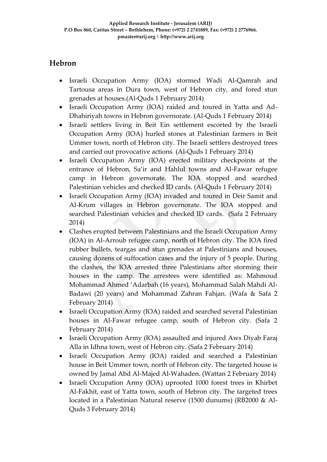# **Hebron**

- Israeli Occupation Army (IOA) stormed Wadi Al-Qamrah and Tartousa areas in Dura town, west of Hebron city, and fored stun grenades at houses.(Al-Quds 1 February 2014)
- Israeli Occupation Army (IOA) raided and toured in Yatta and Ad-Dhahiriyah towns in Hebron governorate. (Al-Quds 1 February 2014)
- Israeli settlers living in Beit Ein settlement escorted by the Israeli Occupation Army (IOA) hurled stones at Palestinian farmers in Beit Ummer town, north of Hebron city. The Israeli settlers destroyed trees and carried out provocative actions. (Al-Quds 1 February 2014)
- Israeli Occupation Army (IOA) erected military checkpoints at the entrance of Hebron, Sa'ir and Hahlul towns and Al-Fawar refugee camp in Hebron governorate. The IOA stopped and searched Palestinian vehicles and checked ID cards. (Al-Quds 1 February 2014)
- Israeli Occupation Army (IOA) invaded and toured in Deir Samit and Al-Krum villages in Hebron governorate. The IOA stopped and searched Palestinian vehicles and checked ID cards. (Safa 2 February 2014)
- Clashes erupted between Palestinians and the Israeli Occupation Army (IOA) in Al-Arroub refugee camp, north of Hebron city. The IOA fired rubber bullets, teargas and stun grenades at Palestinians and houses, causing dozens of suffocation cases and the injury of 5 people. During the clashes, the IOA arrested three Palestinians after storming their houses in the camp. The arrestees were identified as: Mahmoud Mohammad Ahmed 'Adarbah (16 years), Mohammad Salah Mahdi Al-Badawi (20 years) and Mohammad Zahran Fahjan. (Wafa & Safa 2 February 2014)
- Israeli Occupation Army (IOA) raided and searched several Palestinian houses in Al-Fawar refugee camp, south of Hebron city. (Safa 2 February 2014)
- Israeli Occupation Army (IOA) assaulted and injured Aws Diyab Faraj Alla in Idhna town, west of Hebron city. (Safa 2 February 2014)
- Israeli Occupation Army (IOA) raided and searched a Palestinian house in Beit Ummer town, north of Hebron city. The targeted house is owned by Jamal Abd Al-Majed Al-Wahaden. (Wattan 2 February 2014)
- Israeli Occupation Army (IOA) uprooted 1000 forest trees in Khirbet Al-Fakhit, east of Yatta town, south of Hebron city. The targeted trees located in a Palestinian Natural reserve (1500 dunums) (RB2000 & Al-Quds 3 February 2014)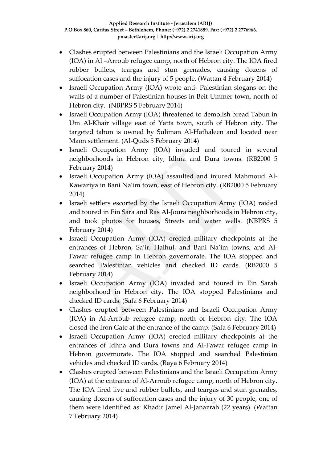- Clashes erupted between Palestinians and the Israeli Occupation Army (IOA) in Al –Arroub refugee camp, north of Hebron city. The IOA fired rubber bullets, teargas and stun grenades, causing dozens of suffocation cases and the injury of 5 people. (Wattan 4 February 2014)
- Israeli Occupation Army (IOA) wrote anti- Palestinian slogans on the walls of a number of Palestinian houses in Beit Ummer town, north of Hebron city. (NBPRS 5 February 2014)
- Israeli Occupation Army (IOA) threatened to demolish bread Tabun in Um Al-Khair village east of Yatta town, south of Hebron city. The targeted tabun is owned by Suliman Al-Hathaleen and located near Maon settlement. (Al-Quds 5 February 2014)
- Israeli Occupation Army (IOA) invaded and toured in several neighborhoods in Hebron city, Idhna and Dura towns. (RB2000 5 February 2014)
- Israeli Occupation Army (IOA) assaulted and injured Mahmoud Al-Kawaziya in Bani Na'im town, east of Hebron city. (RB2000 5 February 2014)
- Israeli settlers escorted by the Israeli Occupation Army (IOA) raided and toured in Ein Sara and Ras Al-Joura neighborhoods in Hebron city, and took photos for houses, Streets and water wells. (NBPRS 5 February 2014)
- Israeli Occupation Army (IOA) erected military checkpoints at the entrances of Hebron, Sa'ir, Halhul, and Bani Na'im towns, and Al-Fawar refugee camp in Hebron governorate. The IOA stopped and searched Palestinian vehicles and checked ID cards. (RB2000 5 February 2014)
- Israeli Occupation Army (IOA) invaded and toured in Ein Sarah neighborhood in Hebron city. The IOA stopped Palestinians and checked ID cards. (Safa 6 February 2014)
- Clashes erupted between Palestinians and Israeli Occupation Army (IOA) in Al-Arroub refugee camp, north of Hebron city. The IOA closed the Iron Gate at the entrance of the camp. (Safa 6 February 2014)
- Israeli Occupation Army (IOA) erected military checkpoints at the entrances of Idhna and Dura towns and Al-Fawar refugee camp in Hebron governorate. The IOA stopped and searched Palestinian vehicles and checked ID cards. (Raya 6 February 2014)
- Clashes erupted between Palestinians and the Israeli Occupation Army (IOA) at the entrance of Al-Arroub refugee camp, north of Hebron city. The IOA fired live and rubber bullets, and teargas and stun grenades, causing dozens of suffocation cases and the injury of 30 people, one of them were identified as: Khadir Jamel Al-Janazrah (22 years). (Wattan 7 February 2014)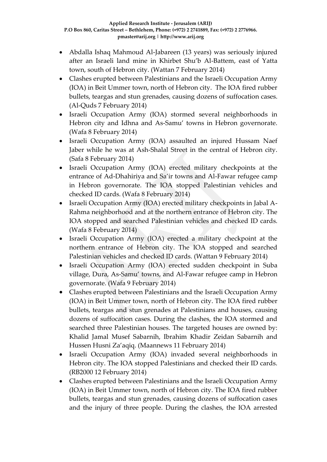- Abdalla Ishaq Mahmoud Al-Jabareen (13 years) was seriously injured after an Israeli land mine in Khirbet Shu'b Al-Battem, east of Yatta town, south of Hebron city. (Wattan 7 February 2014)
- Clashes erupted between Palestinians and the Israeli Occupation Army (IOA) in Beit Ummer town, north of Hebron city. The IOA fired rubber bullets, teargas and stun grenades, causing dozens of suffocation cases. (Al-Quds 7 February 2014)
- Israeli Occupation Army (IOA) stormed several neighborhoods in Hebron city and Idhna and As-Samu' towns in Hebron governorate. (Wafa 8 February 2014)
- Israeli Occupation Army (IOA) assaulted an injured Hussam Naef Jaber while he was at Ash-Shalal Street in the central of Hebron city. (Safa 8 February 2014)
- Israeli Occupation Army (IOA) erected military checkpoints at the entrance of Ad-Dhahiriya and Sa'ir towns and Al-Fawar refugee camp in Hebron governorate. The IOA stopped Palestinian vehicles and checked ID cards. (Wafa 8 February 2014)
- Israeli Occupation Army (IOA) erected military checkpoints in Jabal A-Rahma neighborhood and at the northern entrance of Hebron city. The IOA stopped and searched Palestinian vehicles and checked ID cards. (Wafa 8 February 2014)
- Israeli Occupation Army (IOA) erected a military checkpoint at the northern entrance of Hebron city. The IOA stopped and searched Palestinian vehicles and checked ID cards. (Wattan 9 February 2014)
- Israeli Occupation Army (IOA) erected sudden checkpoint in Suba village, Dura, As-Samu' towns, and Al-Fawar refugee camp in Hebron governorate. (Wafa 9 February 2014)
- Clashes erupted between Palestinians and the Israeli Occupation Army (IOA) in Beit Ummer town, north of Hebron city. The IOA fired rubber bullets, teargas and stun grenades at Palestinians and houses, causing dozens of suffocation cases. During the clashes, the IOA stormed and searched three Palestinian houses. The targeted houses are owned by: Khalid Jamal Musef Sabarnih, Ibrahim Khadir Zeidan Sabarnih and Hussen Husni Za'aqiq. (Maannews 11 February 2014)
- Israeli Occupation Army (IOA) invaded several neighborhoods in Hebron city. The IOA stopped Palestinians and checked their ID cards. (RB2000 12 February 2014)
- Clashes erupted between Palestinians and the Israeli Occupation Army (IOA) in Beit Ummer town, north of Hebron city. The IOA fired rubber bullets, teargas and stun grenades, causing dozens of suffocation cases and the injury of three people. During the clashes, the IOA arrested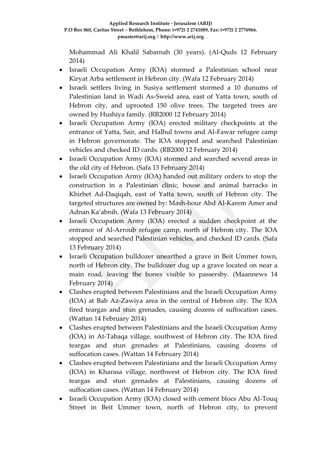Mohammad Ali Khalil Sabarnah (30 years). (Al-Quds 12 February 2014)

- Israeli Occupation Army (IOA) stormed a Palestinian school near Kiryat Arba settlement in Hebron city. (Wafa 12 February 2014)
- Israeli settlers living in Susiya settlement stormed a 10 dunums of Palestinian land in Wadi As-Sweid area, east of Yatta town, south of Hebron city, and uprooted 150 olive trees. The targeted trees are owned by Hushiya family. (RB2000 12 February 2014)
- Israeli Occupation Army (IOA) erected military checkpoints at the entrance of Yatta, Sair, and Halhul towns and Al-Fawar refugee camp in Hebron governorate. The IOA stopped and searched Palestinian vehicles and checked ID cards. (RB2000 12 February 2014)
- Israeli Occupation Army (IOA) stormed and searched several areas in the old city of Hebron. (Safa 13 February 2014)
- Israeli Occupation Army (IOA) handed out military orders to stop the construction in a Palestinian clinic, house and animal barracks in Khirbet Ad-Daqiqah, east of Yatta town, south of Hebron city. The targeted structures are owned by: Mash-hour Abd Al-Karem Amer and Adnan Ka'abnih. (Wafa 13 February 2014)
- Israeli Occupation Army (IOA) erected a sudden checkpoint at the entrance of Al-Arroub refugee camp, north of Hebron city. The IOA stopped and searched Palestinian vehicles, and checked ID cards. (Safa 13 February 2014)
- Israeli Occupation bulldozer unearthed a grave in Beit Ummer town, north of Hebron city. The bulldozer dug up a grave located on near a main road, leaving the bones visible to passersby. (Maannews 14 February 2014)
- Clashes erupted between Palestinians and the Israeli Occupation Army (IOA) at Bab Az-Zawiya area in the central of Hebron city. The IOA fired teargas and stun grenades, causing dozens of suffocation cases. (Wattan 14 February 2014)
- Clashes erupted between Palestinians and the Israeli Occupation Army (IOA) in At-Tabaqa village, southwest of Hebron city. The IOA fired teargas and stun grenades at Palestinians, causing dozens of suffocation cases. (Wattan 14 February 2014)
- Clashes erupted between Palestinians and the Israeli Occupation Army (IOA) in Kharasa village, northwest of Hebron city. The IOA fired teargas and stun grenades at Palestinians, causing dozens of suffocation cases. (Wattan 14 February 2014)
- Israeli Occupation Army (IOA) closed with cement blocs Abu Al-Touq Street in Beit Ummer town, north of Hebron city, to prevent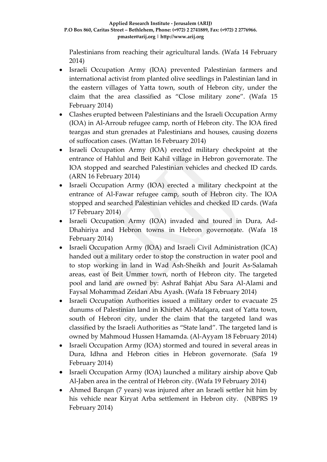Palestinians from reaching their agricultural lands. (Wafa 14 February 2014)

- Israeli Occupation Army (IOA) prevented Palestinian farmers and international activist from planted olive seedlings in Palestinian land in the eastern villages of Yatta town, south of Hebron city, under the claim that the area classified as "Close military zone". (Wafa 15 February 2014)
- Clashes erupted between Palestinians and the Israeli Occupation Army (IOA) in Al-Arroub refugee camp, north of Hebron city. The IOA fired teargas and stun grenades at Palestinians and houses, causing dozens of suffocation cases. (Wattan 16 February 2014)
- Israeli Occupation Army (IOA) erected military checkpoint at the entrance of Hahlul and Beit Kahil village in Hebron governorate. The IOA stopped and searched Palestinian vehicles and checked ID cards. (ARN 16 February 2014)
- Israeli Occupation Army (IOA) erected a military checkpoint at the entrance of Al-Fawar refugee camp, south of Hebron city. The IOA stopped and searched Palestinian vehicles and checked ID cards. (Wafa 17 February 2014)
- Israeli Occupation Army (IOA) invaded and toured in Dura, Ad-Dhahiriya and Hebron towns in Hebron governorate. (Wafa 18 February 2014)
- Israeli Occupation Army (IOA) and Israeli Civil Administration (ICA) handed out a military order to stop the construction in water pool and to stop working in land in Wad Ash-Sheikh and Jourit As-Salamah areas, east of Beit Ummer town, north of Hebron city. The targeted pool and land are owned by: Ashraf Bahjat Abu Sara Al-Alami and Faysal Mohammad Zeidan Abu Ayash. (Wafa 18 February 2014)
- Israeli Occupation Authorities issued a military order to evacuate 25 dunums of Palestinian land in Khirbet Al-Mafqara, east of Yatta town, south of Hebron city, under the claim that the targeted land was classified by the Israeli Authorities as "State land". The targeted land is owned by Mahmoud Hussen Hamamda. (Al-Ayyam 18 February 2014)
- Israeli Occupation Army (IOA) stormed and toured in several areas in Dura, Idhna and Hebron cities in Hebron governorate. (Safa 19 February 2014)
- Israeli Occupation Army (IOA) launched a military airship above Qab Al-Jaben area in the central of Hebron city. (Wafa 19 February 2014)
- Ahmed Barqan (7 years) was injured after an Israeli settler hit him by his vehicle near Kiryat Arba settlement in Hebron city. (NBPRS 19 February 2014)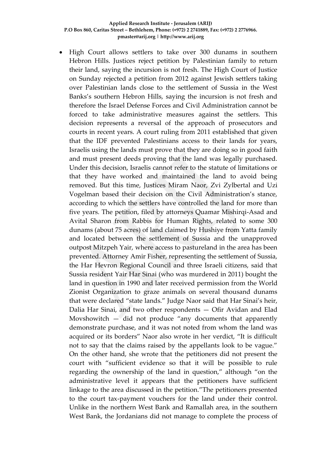• High Court allows settlers to take over 300 dunams in southern Hebron Hills. Justices reject petition by Palestinian family to return their land, saying the incursion is not fresh. The High Court of Justice on Sunday rejected a petition from 2012 against Jewish settlers taking over Palestinian lands close to the settlement of Sussia in the West Banks's southern Hebron Hills, saying the incursion is not fresh and therefore the Israel Defense Forces and Civil Administration cannot be forced to take administrative measures against the settlers. This decision represents a reversal of the approach of prosecutors and courts in recent years. A court ruling from 2011 established that given that the IDF prevented Palestinians access to their lands for years, Israelis using the lands must prove that they are doing so in good faith and must present deeds proving that the land was legally purchased. Under this decision, Israelis cannot refer to the statute of limitations or that they have worked and maintained the land to avoid being removed. But this time, Justices Miram Naor, Zvi Zylbertal and Uzi Vogelman based their decision on the Civil Administration's stance, according to which the settlers have controlled the land for more than five years. The petition, filed by attorneys Quamar Mishirqi-Asad and Avital Sharon from Rabbis for Human Rights, related to some 300 dunams (about 75 acres) of land claimed by Hushiye from Yatta family and located between the settlement of Sussia and the unapproved outpost Mitzpeh Yair, where access to pastureland in the area has been prevented. Attorney Amir Fisher, representing the settlement of Sussia, the Har Hevron Regional Council and three Israeli citizens, said that Sussia resident Yair Har Sinai (who was murdered in 2011) bought the land in question in 1990 and later received permission from the World Zionist Organization to graze animals on several thousand dunams that were declared "state lands." Judge Naor said that Har Sinai's heir, Dalia Har Sinai, and two other respondents — Ofir Avidan and Elad Movshowitch — did not produce "any documents that apparently demonstrate purchase, and it was not noted from whom the land was acquired or its borders" Naor also wrote in her verdict, "It is difficult not to say that the claims raised by the appellants look to be vague." On the other hand, she wrote that the petitioners did not present the court with "sufficient evidence so that it will be possible to rule regarding the ownership of the land in question," although "on the administrative level it appears that the petitioners have sufficient linkage to the area discussed in the petition."The petitioners presented to the court tax-payment vouchers for the land under their control. Unlike in the northern West Bank and Ramallah area, in the southern West Bank, the Jordanians did not manage to complete the process of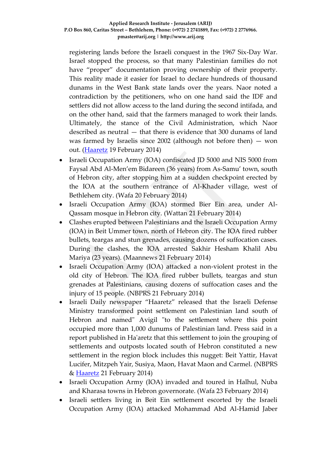registering lands before the Israeli conquest in the 1967 Six-Day War. Israel stopped the process, so that many Palestinian families do not have "proper" documentation proving ownership of their property. This reality made it easier for Israel to declare hundreds of thousand dunams in the West Bank state lands over the years. Naor noted a contradiction by the petitioners, who on one hand said the IDF and settlers did not allow access to the land during the second intifada, and on the other hand, said that the farmers managed to work their lands. Ultimately, the stance of the Civil Administration, which Naor described as neutral — that there is evidence that 300 dunams of land was farmed by Israelis since  $2002$  (although not before then) – won out. [\(Haaretz](http://www.haaretz.com/news/national/.premium-1.575012) 19 February 2014)

- Israeli Occupation Army (IOA) confiscated JD 5000 and NIS 5000 from Faysal Abd Al-Men'em Bidareen (36 years) from As-Samu' town, south of Hebron city, after stopping him at a sudden checkpoint erected by the IOA at the southern entrance of Al-Khader village, west of Bethlehem city. (Wafa 20 February 2014)
- Israeli Occupation Army (IOA) stormed Bier Ein area, under Al-Qassam mosque in Hebron city. (Wattan 21 February 2014)
- Clashes erupted between Palestinians and the Israeli Occupation Army (IOA) in Beit Ummer town, north of Hebron city. The IOA fired rubber bullets, teargas and stun grenades, causing dozens of suffocation cases. During the clashes, the IOA arrested Sakhir Hesham Khalil Abu Mariya (23 years). (Maannews 21 February 2014)
- Israeli Occupation Army (IOA) attacked a non-violent protest in the old city of Hebron. The IOA fired rubber bullets, teargas and stun grenades at Palestinians, causing dozens of suffocation cases and the injury of 15 people. (NBPRS 21 February 2014)
- Israeli Daily newspaper "Haaretz" released that the Israeli Defense Ministry transformed point settlement on Palestinian land south of Hebron and named" Avigil "to the settlement where this point occupied more than 1,000 dunums of Palestinian land. Press said in a report published in Ha'aretz that this settlement to join the grouping of settlements and outposts located south of Hebron constituted a new settlement in the region block includes this nugget: Beit Yattir, Havat Lucifer, Mitzpeh Yair, Susiya, Maon, Havat Maon and Carmel. (NBPRS & [Haaretz](http://www.haaretz.co.il/news/politics/.premium-1.2250462) 21 February 2014)
- Israeli Occupation Army (IOA) invaded and toured in Halhul, Nuba and Kharasa towns in Hebron governorate. (Wafa 23 February 2014)
- Israeli settlers living in Beit Ein settlement escorted by the Israeli Occupation Army (IOA) attacked Mohammad Abd Al-Hamid Jaber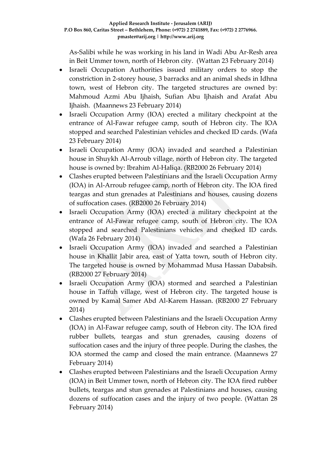As-Salibi while he was working in his land in Wadi Abu Ar-Resh area in Beit Ummer town, north of Hebron city. (Wattan 23 February 2014)

- Israeli Occupation Authorities issued military orders to stop the constriction in 2-storey house, 3 barracks and an animal sheds in Idhna town, west of Hebron city. The targeted structures are owned by: Mahmoud Azmi Abu Ijhaish, Sufian Abu Ijhaish and Arafat Abu Ijhaish. (Maannews 23 February 2014)
- Israeli Occupation Army (IOA) erected a military checkpoint at the entrance of Al-Fawar refugee camp, south of Hebron city. The IOA stopped and searched Palestinian vehicles and checked ID cards. (Wafa 23 February 2014)
- Israeli Occupation Army (IOA) invaded and searched a Palestinian house in Shuykh Al-Arroub village, north of Hebron city. The targeted house is owned by: Ibrahim Al-Haliqa. (RB2000 26 February 2014)
- Clashes erupted between Palestinians and the Israeli Occupation Army (IOA) in Al-Arroub refugee camp, north of Hebron city. The IOA fired teargas and stun grenades at Palestinians and houses, causing dozens of suffocation cases. (RB2000 26 February 2014)
- Israeli Occupation Army (IOA) erected a military checkpoint at the entrance of Al-Fawar refugee camp, south of Hebron city. The IOA stopped and searched Palestinians vehicles and checked ID cards. (Wafa 26 February 2014)
- Israeli Occupation Army (IOA) invaded and searched a Palestinian house in Khallit Jabir area, east of Yatta town, south of Hebron city. The targeted house is owned by Mohammad Musa Hassan Dababsih. (RB2000 27 February 2014)
- Israeli Occupation Army (IOA) stormed and searched a Palestinian house in Taffuh village, west of Hebron city. The targeted house is owned by Kamal Samer Abd Al-Karem Hassan. (RB2000 27 February 2014)
- Clashes erupted between Palestinians and the Israeli Occupation Army (IOA) in Al-Fawar refugee camp, south of Hebron city. The IOA fired rubber bullets, teargas and stun grenades, causing dozens of suffocation cases and the injury of three people. During the clashes, the IOA stormed the camp and closed the main entrance. (Maannews 27 February 2014)
- Clashes erupted between Palestinians and the Israeli Occupation Army (IOA) in Beit Ummer town, north of Hebron city. The IOA fired rubber bullets, teargas and stun grenades at Palestinians and houses, causing dozens of suffocation cases and the injury of two people. (Wattan 28 February 2014)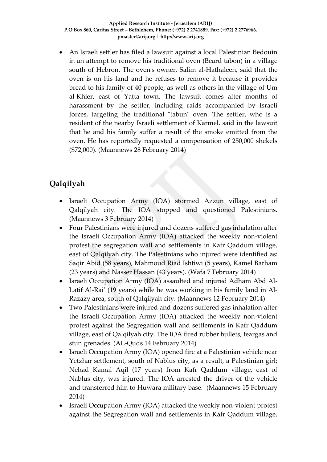An Israeli settler has filed a lawsuit against a local Palestinian Bedouin in an attempt to remove his traditional oven (Beard tabon) in a village south of Hebron. The oven's owner, Salim al-Hathaleen, said that the oven is on his land and he refuses to remove it because it provides bread to his family of 40 people, as well as others in the village of Um al-Khier, east of Yatta town. The lawsuit comes after months of harassment by the settler, including raids accompanied by Israeli forces, targeting the traditional "tabun" oven. The settler, who is a resident of the nearby Israeli settlement of Karmel, said in the lawsuit that he and his family suffer a result of the smoke emitted from the oven. He has reportedly requested a compensation of 250,000 shekels (\$72,000). (Maannews 28 February 2014)

# **Qalqilyah**

- Israeli Occupation Army (IOA) stormed Azzun village, east of Qalqilyah city. The IOA stopped and questioned Palestinians. (Maannews 3 February 2014)
- Four Palestinians were injured and dozens suffered gas inhalation after the Israeli Occupation Army (IOA) attacked the weekly non-violent protest the segregation wall and settlements in Kafr Qaddum village, east of Qalqilyah city. The Palestinians who injured were identified as: Saqir Abid (58 years), Mahmoud Riad Ishtiwi (5 years), Kamel Barham (23 years) and Nasser Hassan (43 years). (Wafa 7 February 2014)
- Israeli Occupation Army (IOA) assaulted and injured Adham Abd Al-Latif Al-Rai' (19 years) while he was working in his family land in Al-Razazy area, south of Qalqilyah city. (Maannews 12 February 2014)
- Two Palestinians were injured and dozens suffered gas inhalation after the Israeli Occupation Army (IOA) attacked the weekly non-violent protest against the Segregation wall and settlements in Kafr Qaddum village, east of Qalqilyah city. The IOA fired rubber bullets, teargas and stun grenades. (AL-Quds 14 February 2014)
- Israeli Occupation Army (IOA) opened fire at a Palestinian vehicle near Yetzhar settlement, south of Nablus city, as a result, a Palestinian girl; Nehad Kamal Aqil (17 years) from Kafr Qaddum village, east of Nablus city, was injured. The IOA arrested the driver of the vehicle and transferred him to Huwara military base. (Maannews 15 February 2014)
- Israeli Occupation Army (IOA) attacked the weekly non-violent protest against the Segregation wall and settlements in Kafr Qaddum village,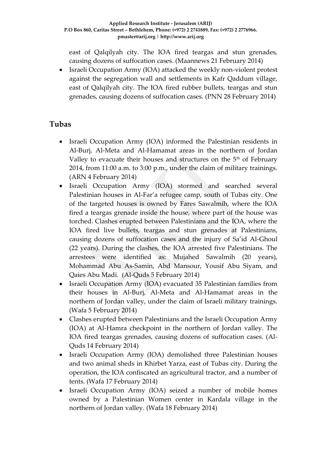east of Qalqilyah city. The IOA fired teargas and stun grenades, causing dozens of suffocation cases. (Maannews 21 February 2014)

• Israeli Occupation Army (IOA) attacked the weekly non-violent protest against the segregation wall and settlements in Kafr Qaddum village, east of Qalqilyah city. The IOA fired rubber bullets, teargas and stun grenades, causing dozens of suffocation cases. (PNN 28 February 2014)

## **Tubas**

- Israeli Occupation Army (IOA) informed the Palestinian residents in Al-Burj, Al-Meta and Al-Hamamat areas in the northern of Jordan Valley to evacuate their houses and structures on the 5<sup>th</sup> of February 2014, from 11:00 a.m. to 3:00 p.m., under the claim of military trainings. (ARN 4 February 2014)
- Israeli Occupation Army (IOA) stormed and searched several Palestinian houses in Al-Far'a refugee camp, south of Tubas city. One of the targeted houses is owned by Fares Sawalmih, where the IOA fired a teargas grenade inside the house, where part of the house was torched. Clashes erupted between Palestinians and the IOA, where the IOA fired live bullets, teargas and stun grenades at Palestinians, causing dozens of suffocation cases and the injury of Sa'id Al-Ghoul (22 years). During the clashes, the IOA arrested five Palestinians. The arrestees were identified as: Mujahed Sawalmih (20 years), Mohammad Abu As-Samin, Abd Mansour, Yousif Abu Siyam, and Qaies Abu Madi. (Al-Quds 5 February 2014)
- Israeli Occupation Army (IOA) evacuated 35 Palestinian families from their houses in Al-Burj, Al-Meta and Al-Hamamat areas in the northern of Jordan valley, under the claim of Israeli military trainings. (Wafa 5 February 2014)
- Clashes erupted between Palestinians and the Israeli Occupation Army (IOA) at Al-Hamra checkpoint in the northern of Jordan valley. The IOA fired teargas grenades, causing dozens of suffocation cases. (Al-Quds 14 February 2014)
- Israeli Occupation Army (IOA) demolished three Palestinian houses and two animal sheds in Khirbet Yarza, east of Tubas city. During the operation, the IOA confiscated an agricultural tractor, and a number of tents. (Wafa 17 February 2014)
- Israeli Occupation Army (IOA) seized a number of mobile homes owned by a Palestinian Women center in Kardala village in the northern of Jordan valley. (Wafa 18 February 2014)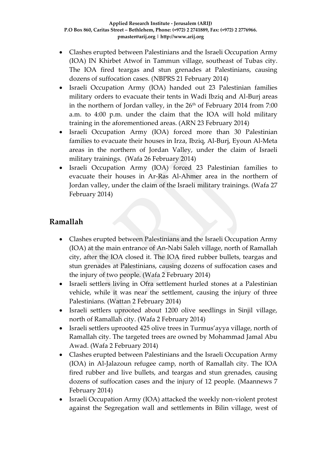- Clashes erupted between Palestinians and the Israeli Occupation Army (IOA) IN Khirbet Atwof in Tammun village, southeast of Tubas city. The IOA fired teargas and stun grenades at Palestinians, causing dozens of suffocation cases. (NBPRS 21 February 2014)
- Israeli Occupation Army (IOA) handed out 23 Palestinian families military orders to evacuate their tents in Wadi Ibziq and Al-Burj areas in the northern of Jordan valley, in the  $26<sup>th</sup>$  of February 2014 from 7:00 a.m. to 4:00 p.m. under the claim that the IOA will hold military training in the aforementioned areas. (ARN 23 February 2014)
- Israeli Occupation Army (IOA) forced more than 30 Palestinian families to evacuate their houses in Irza, Ibziq, Al-Burj, Eyoun Al-Meta areas in the northern of Jordan Valley, under the claim of Israeli military trainings. (Wafa 26 February 2014)
- Israeli Occupation Army (IOA) forced 23 Palestinian families to evacuate their houses in Ar-Ras Al-Ahmer area in the northern of Jordan valley, under the claim of the Israeli military trainings. (Wafa 27 February 2014)

# **Ramallah**

- Clashes erupted between Palestinians and the Israeli Occupation Army (IOA) at the main entrance of An-Nabi Saleh village, north of Ramallah city, after the IOA closed it. The IOA fired rubber bullets, teargas and stun grenades at Palestinians, causing dozens of suffocation cases and the injury of two people. (Wafa 2 February 2014)
- Israeli settlers living in Ofra settlement hurled stones at a Palestinian vehicle, while it was near the settlement, causing the injury of three Palestinians. (Wattan 2 February 2014)
- Israeli settlers uprooted about 1200 olive seedlings in Sinjil village, north of Ramallah city. (Wafa 2 February 2014)
- Israeli settlers uprooted 425 olive trees in Turmus'ayya village, north of Ramallah city. The targeted trees are owned by Mohammad Jamal Abu Awad. (Wafa 2 February 2014)
- Clashes erupted between Palestinians and the Israeli Occupation Army (IOA) in Al-Jalazoun refugee camp, north of Ramallah city. The IOA fired rubber and live bullets, and teargas and stun grenades, causing dozens of suffocation cases and the injury of 12 people. (Maannews 7 February 2014)
- Israeli Occupation Army (IOA) attacked the weekly non-violent protest against the Segregation wall and settlements in Bilin village, west of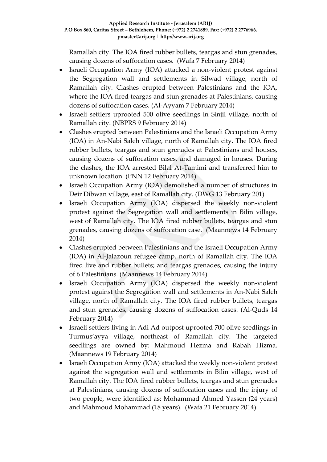Ramallah city. The IOA fired rubber bullets, teargas and stun grenades, causing dozens of suffocation cases. (Wafa 7 February 2014)

- Israeli Occupation Army (IOA) attacked a non-violent protest against the Segregation wall and settlements in Silwad village, north of Ramallah city. Clashes erupted between Palestinians and the IOA, where the IOA fired teargas and stun grenades at Palestinians, causing dozens of suffocation cases. (Al-Ayyam 7 February 2014)
- Israeli settlers uprooted 500 olive seedlings in Sinjil village, north of Ramallah city. (NBPRS 9 February 2014)
- Clashes erupted between Palestinians and the Israeli Occupation Army (IOA) in An-Nabi Saleh village, north of Ramallah city. The IOA fired rubber bullets, teargas and stun grenades at Palestinians and houses, causing dozens of suffocation cases, and damaged in houses. During the clashes, the IOA arrested Bilal At-Tamimi and transferred him to unknown location. (PNN 12 February 2014)
- Israeli Occupation Army (IOA) demolished a number of structures in Deir Dibwan village, east of Ramallah city. (DWG 13 February 201)
- Israeli Occupation Army (IOA) dispersed the weekly non-violent protest against the Segregation wall and settlements in Bilin village, west of Ramallah city. The IOA fired rubber bullets, teargas and stun grenades, causing dozens of suffocation case. (Maannews 14 February 2014)
- Clashes erupted between Palestinians and the Israeli Occupation Army (IOA) in Al-Jalazoun refugee camp, north of Ramallah city. The IOA fired live and rubber bullets; and teargas grenades, causing the injury of 6 Palestinians. (Maannews 14 February 2014)
- Israeli Occupation Army (IOA) dispersed the weekly non-violent protest against the Segregation wall and settlements in An-Nabi Saleh village, north of Ramallah city. The IOA fired rubber bullets, teargas and stun grenades, causing dozens of suffocation cases. (Al-Quds 14 February 2014)
- Israeli settlers living in Adi Ad outpost uprooted 700 olive seedlings in Turmus'ayya village, northeast of Ramallah city. The targeted seedlings are owned by: Mahmoud Hezma and Rabah Hizma. (Maannews 19 February 2014)
- Israeli Occupation Army (IOA) attacked the weekly non-violent protest against the segregation wall and settlements in Bilin village, west of Ramallah city. The IOA fired rubber bullets, teargas and stun grenades at Palestinians, causing dozens of suffocation cases and the injury of two people, were identified as: Mohammad Ahmed Yassen (24 years) and Mahmoud Mohammad (18 years). (Wafa 21 February 2014)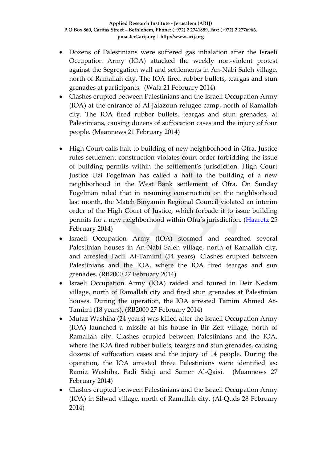- Dozens of Palestinians were suffered gas inhalation after the Israeli Occupation Army (IOA) attacked the weekly non-violent protest against the Segregation wall and settlements in An-Nabi Saleh village, north of Ramallah city. The IOA fired rubber bullets, teargas and stun grenades at participants. (Wafa 21 February 2014)
- Clashes erupted between Palestinians and the Israeli Occupation Army (IOA) at the entrance of Al-Jalazoun refugee camp, north of Ramallah city. The IOA fired rubber bullets, teargas and stun grenades, at Palestinians, causing dozens of suffocation cases and the injury of four people. (Maannews 21 February 2014)
- High Court calls halt to building of new neighborhood in Ofra. Justice rules settlement construction violates court order forbidding the issue of building permits within the settlement's jurisdiction. High Court Justice Uzi Fogelman has called a halt to the building of a new neighborhood in the West Bank settlement of Ofra. On Sunday Fogelman ruled that in resuming construction on the neighborhood last month, the Mateh Binyamin Regional Council violated an interim order of the High Court of Justice, which forbade it to issue building permits for a new neighborhood within Ofra's jurisdiction. [\(Haaretz](http://www.haaretz.com/news/national/.premium-1.576198) 25 February 2014)
- Israeli Occupation Army (IOA) stormed and searched several Palestinian houses in An-Nabi Saleh village, north of Ramallah city, and arrested Fadil At-Tamimi (54 years). Clashes erupted between Palestinians and the IOA, where the IOA fired teargas and sun grenades. (RB2000 27 February 2014)
- Israeli Occupation Army (IOA) raided and toured in Deir Nedam village, north of Ramallah city and fired stun grenades at Palestinian houses. During the operation, the IOA arrested Tamim Ahmed At-Tamimi (18 years). (RB2000 27 February 2014)
- Mutaz Washiha (24 years) was killed after the Israeli Occupation Army (IOA) launched a missile at his house in Bir Zeit village, north of Ramallah city. Clashes erupted between Palestinians and the IOA, where the IOA fired rubber bullets, teargas and stun grenades, causing dozens of suffocation cases and the injury of 14 people. During the operation, the IOA arrested three Palestinians were identified as: Ramiz Washiha, Fadi Sidqi and Samer Al-Qaisi. (Maannews 27 February 2014)
- Clashes erupted between Palestinians and the Israeli Occupation Army (IOA) in Silwad village, north of Ramallah city. (Al-Quds 28 February 2014)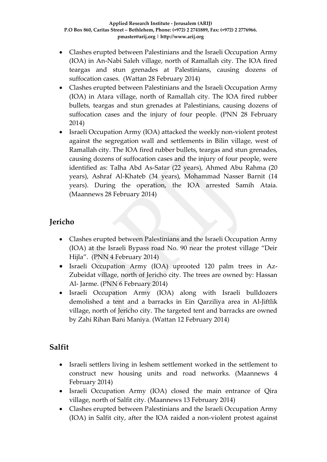- Clashes erupted between Palestinians and the Israeli Occupation Army (IOA) in An-Nabi Saleh village, north of Ramallah city. The IOA fired teargas and stun grenades at Palestinians, causing dozens of suffocation cases. (Wattan 28 February 2014)
- Clashes erupted between Palestinians and the Israeli Occupation Army (IOA) in Atara village, north of Ramallah city. The IOA fired rubber bullets, teargas and stun grenades at Palestinians, causing dozens of suffocation cases and the injury of four people. (PNN 28 February 2014)
- Israeli Occupation Army (IOA) attacked the weekly non-violent protest against the segregation wall and settlements in Bilin village, west of Ramallah city. The IOA fired rubber bullets, teargas and stun grenades, causing dozens of suffocation cases and the injury of four people, were identified as: Talha Abd As-Satar (22 years), Ahmed Abu Rahma (20 years), Ashraf Al-Khateb (34 years), Mohammad Nasser Barnit (14 years). During the operation, the IOA arrested Samih Ataia. (Maannews 28 February 2014)

# **Jericho**

- Clashes erupted between Palestinians and the Israeli Occupation Army (IOA) at the Israeli Bypass road No. 90 near the protest village "Deir Hijla". (PNN 4 February 2014)
- Israeli Occupation Army (IOA) uprooted 120 palm trees in Az-Zubeidat village, north of Jericho city. The trees are owned by: Hassan Al- Jarme. (PNN 6 February 2014)
- Israeli Occupation Army (IOA) along with Israeli bulldozers demolished a tent and a barracks in Ein Qarziliya area in Al-Jiftlik village, north of Jericho city. The targeted tent and barracks are owned by Zahi Rihan Bani Maniya. (Wattan 12 February 2014)

# **Salfit**

- Israeli settlers living in leshem settlement worked in the settlement to construct new housing units and road networks. (Maannews 4 February 2014)
- Israeli Occupation Army (IOA) closed the main entrance of Qira village, north of Salfit city. (Maannews 13 February 2014)
- Clashes erupted between Palestinians and the Israeli Occupation Army (IOA) in Salfit city, after the IOA raided a non-violent protest against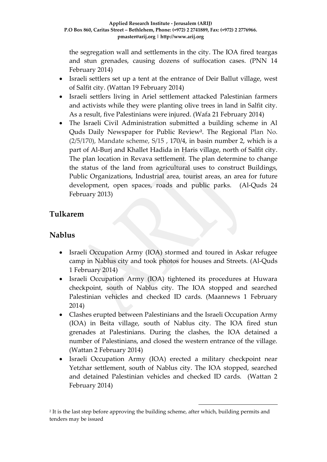the segregation wall and settlements in the city. The IOA fired teargas and stun grenades, causing dozens of suffocation cases. (PNN 14 February 2014)

- Israeli settlers set up a tent at the entrance of Deir Ballut village, west of Salfit city. (Wattan 19 February 2014)
- Israeli settlers living in Ariel settlement attacked Palestinian farmers and activists while they were planting olive trees in land in Salfit city. As a result, five Palestinians were injured. (Wafa 21 February 2014)
- The Israeli Civil Administration submitted a building scheme in Al Quds Daily Newspaper for Public Review**<sup>2</sup>** . The Regional Plan No.  $(2/5/170)$ , Mandate scheme,  $S/15$ , 170/4, in basin number 2, which is a part of Al-Burj and Khallet Hadida in Haris village, north of Salfit city. The plan location in Revava settlement. The plan determine to change the status of the land from agricultural uses to construct Buildings, Public Organizations, Industrial area, tourist areas, an area for future development, open spaces, roads and public parks. (Al-Quds 24 February 2013)

# **Tulkarem**

## **Nablus**

- Israeli Occupation Army (IOA) stormed and toured in Askar refugee camp in Nablus city and took photos for houses and Streets. (Al-Quds 1 February 2014)
- Israeli Occupation Army (IOA) tightened its procedures at Huwara checkpoint, south of Nablus city. The IOA stopped and searched Palestinian vehicles and checked ID cards. (Maannews 1 February 2014)
- Clashes erupted between Palestinians and the Israeli Occupation Army (IOA) in Beita village, south of Nablus city. The IOA fired stun grenades at Palestinians. During the clashes, the IOA detained a number of Palestinians, and closed the western entrance of the village. (Wattan 2 February 2014)
- Israeli Occupation Army (IOA) erected a military checkpoint near Yetzhar settlement, south of Nablus city. The IOA stopped, searched and detained Palestinian vehicles and checked ID cards. (Wattan 2 February 2014)

1

2 It is the last step before approving the building scheme, after which, building permits and tenders may be issued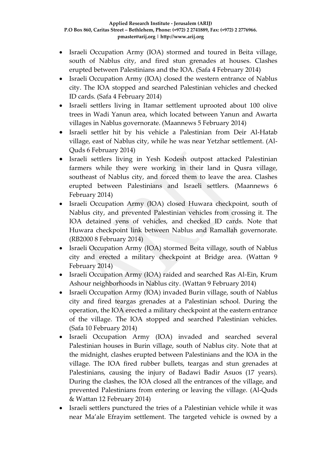- Israeli Occupation Army (IOA) stormed and toured in Beita village, south of Nablus city, and fired stun grenades at houses. Clashes erupted between Palestinians and the IOA. (Safa 4 February 2014)
- Israeli Occupation Army (IOA) closed the western entrance of Nablus city. The IOA stopped and searched Palestinian vehicles and checked ID cards. (Safa 4 February 2014)
- Israeli settlers living in Itamar settlement uprooted about 100 olive trees in Wadi Yanun area, which located between Yanun and Awarta villages in Nablus governorate. (Maannews 5 February 2014)
- Israeli settler hit by his vehicle a Palestinian from Deir Al-Hatab village, east of Nablus city, while he was near Yetzhar settlement. (Al-Quds 6 February 2014)
- Israeli settlers living in Yesh Kodesh outpost attacked Palestinian farmers while they were working in their land in Qusra village, southeast of Nablus city, and forced them to leave the area. Clashes erupted between Palestinians and Israeli settlers. (Maannews 6 February 2014)
- Israeli Occupation Army (IOA) closed Huwara checkpoint, south of Nablus city, and prevented Palestinian vehicles from crossing it. The IOA detained yens of vehicles, and checked ID cards. Note that Huwara checkpoint link between Nablus and Ramallah governorate. (RB2000 8 February 2014)
- Israeli Occupation Army (IOA) stormed Beita village, south of Nablus city and erected a military checkpoint at Bridge area. (Wattan 9 February 2014)
- Israeli Occupation Army (IOA) raided and searched Ras Al-Ein, Krum Ashour neighborhoods in Nablus city. (Wattan 9 February 2014)
- Israeli Occupation Army (IOA) invaded Burin village, south of Nablus city and fired teargas grenades at a Palestinian school. During the operation, the IOA erected a military checkpoint at the eastern entrance of the village. The IOA stopped and searched Palestinian vehicles. (Safa 10 February 2014)
- Israeli Occupation Army (IOA) invaded and searched several Palestinian houses in Burin village, south of Nablus city. Note that at the midnight, clashes erupted between Palestinians and the IOA in the village. The IOA fired rubber bullets, teargas and stun grenades at Palestinians, causing the injury of Badawi Badir Asuos (17 years). During the clashes, the IOA closed all the entrances of the village, and prevented Palestinians from entering or leaving the village. (Al-Quds & Wattan 12 February 2014)
- Israeli settlers punctured the tries of a Palestinian vehicle while it was near Ma'ale Efrayim settlement. The targeted vehicle is owned by a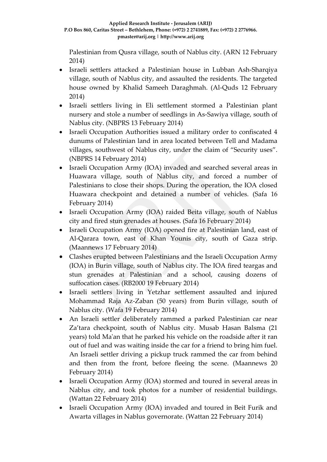Palestinian from Qusra village, south of Nablus city. (ARN 12 February 2014)

- Israeli settlers attacked a Palestinian house in Lubban Ash-Sharqiya village, south of Nablus city, and assaulted the residents. The targeted house owned by Khalid Sameeh Daraghmah. (Al-Quds 12 February 2014)
- Israeli settlers living in Eli settlement stormed a Palestinian plant nursery and stole a number of seedlings in As-Sawiya village, south of Nablus city. (NBPRS 13 February 2014)
- Israeli Occupation Authorities issued a military order to confiscated 4 dunums of Palestinian land in area located between Tell and Madama villages, southwest of Nablus city, under the claim of "Security uses". (NBPRS 14 February 2014)
- Israeli Occupation Army (IOA) invaded and searched several areas in Huawara village, south of Nablus city, and forced a number of Palestinians to close their shops. During the operation, the IOA closed Huawara checkpoint and detained a number of vehicles. (Safa 16 February 2014)
- Israeli Occupation Army (IOA) raided Beita village, south of Nablus city and fired stun grenades at houses. (Safa 16 February 2014)
- Israeli Occupation Army (IOA) opened fire at Palestinian land, east of Al-Qarara town, east of Khan Younis city, south of Gaza strip. (Maannews 17 February 2014)
- Clashes erupted between Palestinians and the Israeli Occupation Army (IOA) in Burin village, south of Nablus city. The IOA fired teargas and stun grenades at Palestinian and a school, causing dozens of suffocation cases. (RB2000 19 February 2014)
- Israeli settlers living in Yetzhar settlement assaulted and injured Mohammad Raja Az-Zaban (50 years) from Burin village, south of Nablus city. (Wafa 19 February 2014)
- An Israeli settler deliberately rammed a parked Palestinian car near Za'tara checkpoint, south of Nablus city. Musab Hasan Balsma (21 years) told Ma'an that he parked his vehicle on the roadside after it ran out of fuel and was waiting inside the car for a friend to bring him fuel. An Israeli settler driving a pickup truck rammed the car from behind and then from the front, before fleeing the scene. (Maannews 20 February 2014)
- Israeli Occupation Army (IOA) stormed and toured in several areas in Nablus city, and took photos for a number of residential buildings. (Wattan 22 February 2014)
- Israeli Occupation Army (IOA) invaded and toured in Beit Furik and Awarta villages in Nablus governorate. (Wattan 22 February 2014)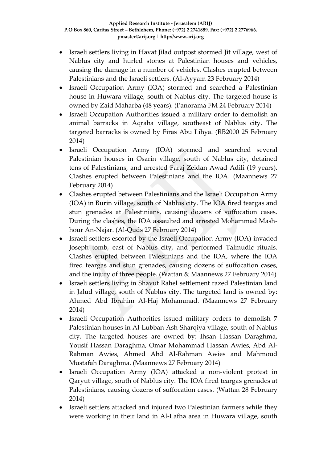- Israeli settlers living in Havat Jilad outpost stormed Jit village, west of Nablus city and hurled stones at Palestinian houses and vehicles, causing the damage in a number of vehicles. Clashes erupted between Palestinians and the Israeli settlers. (Al-Ayyam 23 February 2014)
- Israeli Occupation Army (IOA) stormed and searched a Palestinian house in Huwara village, south of Nablus city. The targeted house is owned by Zaid Maharba (48 years). (Panorama FM 24 February 2014)
- Israeli Occupation Authorities issued a military order to demolish an animal barracks in Aqraba village, southeast of Nablus city. The targeted barracks is owned by Firas Abu Lihya. (RB2000 25 February 2014)
- Israeli Occupation Army (IOA) stormed and searched several Palestinian houses in Osarin village, south of Nablus city, detained tens of Palestinians, and arrested Faraj Zeidan Awad Adili (19 years). Clashes erupted between Palestinians and the IOA. (Maannews 27 February 2014)
- Clashes erupted between Palestinians and the Israeli Occupation Army (IOA) in Burin village, south of Nablus city. The IOA fired teargas and stun grenades at Palestinians, causing dozens of suffocation cases. During the clashes, the IOA assaulted and arrested Mohammad Mashhour An-Najar. (Al-Quds 27 February 2014)
- Israeli settlers escorted by the Israeli Occupation Army (IOA) invaded Joseph tomb, east of Nablus city, and performed Talmudic rituals. Clashes erupted between Palestinians and the IOA, where the IOA fired teargas and stun grenades, causing dozens of suffocation cases, and the injury of three people. (Wattan & Maannews 27 February 2014)
- Israeli settlers living in Shavut Rahel settlement razed Palestinian land in Jalud village, south of Nablus city. The targeted land is owned by: Ahmed Abd Ibrahim Al-Haj Mohammad. (Maannews 27 February 2014)
- Israeli Occupation Authorities issued military orders to demolish 7 Palestinian houses in Al-Lubban Ash-Sharqiya village, south of Nablus city. The targeted houses are owned by: Ihsan Hassan Daraghma, Yousif Hassan Daraghma, Omar Mohammad Hassan Awies, Abd Al-Rahman Awies, Ahmed Abd Al-Rahman Awies and Mahmoud Mustafah Daraghma. (Maannews 27 February 2014)
- Israeli Occupation Army (IOA) attacked a non-violent protest in Qaryut village, south of Nablus city. The IOA fired teargas grenades at Palestinians, causing dozens of suffocation cases. (Wattan 28 February 2014)
- Israeli settlers attacked and injured two Palestinian farmers while they were working in their land in Al-Lafha area in Huwara village, south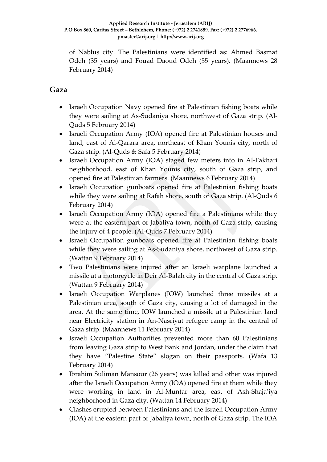of Nablus city. The Palestinians were identified as: Ahmed Basmat Odeh (35 years) and Fouad Daoud Odeh (55 years). (Maannews 28 February 2014)

### **Gaza**

- Israeli Occupation Navy opened fire at Palestinian fishing boats while they were sailing at As-Sudaniya shore, northwest of Gaza strip. (Al-Quds 5 February 2014)
- Israeli Occupation Army (IOA) opened fire at Palestinian houses and land, east of Al-Qarara area, northeast of Khan Younis city, north of Gaza strip. (Al-Quds & Safa 5 February 2014)
- Israeli Occupation Army (IOA) staged few meters into in Al-Fakhari neighborhood, east of Khan Younis city, south of Gaza strip, and opened fire at Palestinian farmers. (Maannews 6 February 2014)
- Israeli Occupation gunboats opened fire at Palestinian fishing boats while they were sailing at Rafah shore, south of Gaza strip. (Al-Quds 6 February 2014)
- Israeli Occupation Army (IOA) opened fire a Palestinians while they were at the eastern part of Jabaliya town, north of Gaza strip, causing the injury of 4 people. (Al-Quds 7 February 2014)
- Israeli Occupation gunboats opened fire at Palestinian fishing boats while they were sailing at As-Sudaniya shore, northwest of Gaza strip. (Wattan 9 February 2014)
- Two Palestinians were injured after an Israeli warplane launched a missile at a motorcycle in Deir Al-Balah city in the central of Gaza strip. (Wattan 9 February 2014)
- Israeli Occupation Warplanes (IOW) launched three missiles at a Palestinian area, south of Gaza city, causing a lot of damaged in the area. At the same time, IOW launched a missile at a Palestinian land near Electricity station in An-Nasriyat refugee camp in the central of Gaza strip. (Maannews 11 February 2014)
- Israeli Occupation Authorities prevented more than 60 Palestinians from leaving Gaza strip to West Bank and Jordan, under the claim that they have "Palestine State" slogan on their passports. (Wafa 13 February 2014)
- Ibrahim Suliman Mansour (26 years) was killed and other was injured after the Israeli Occupation Army (IOA) opened fire at them while they were working in land in Al-Muntar area, east of Ash-Shaja'iya neighborhood in Gaza city. (Wattan 14 February 2014)
- Clashes erupted between Palestinians and the Israeli Occupation Army (IOA) at the eastern part of Jabaliya town, north of Gaza strip. The IOA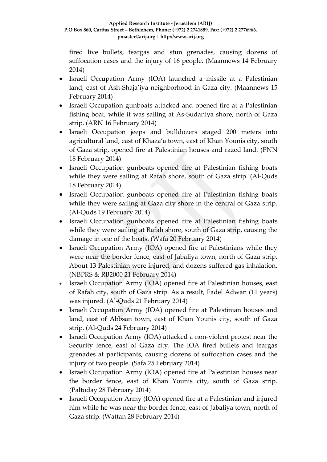fired live bullets, teargas and stun grenades, causing dozens of suffocation cases and the injury of 16 people. (Maannews 14 February 2014)

- Israeli Occupation Army (IOA) launched a missile at a Palestinian land, east of Ash-Shaja'iya neighborhood in Gaza city. (Maannews 15 February 2014)
- Israeli Occupation gunboats attacked and opened fire at a Palestinian fishing boat, while it was sailing at As-Sudaniya shore, north of Gaza strip. (ARN 16 February 2014)
- Israeli Occupation jeeps and bulldozers staged 200 meters into agricultural land, east of Khaza'a town, east of Khan Younis city, south of Gaza strip, opened fire at Palestinian houses and razed land. (PNN 18 February 2014)
- Israeli Occupation gunboats opened fire at Palestinian fishing boats while they were sailing at Rafah shore, south of Gaza strip. (Al-Quds 18 February 2014)
- Israeli Occupation gunboats opened fire at Palestinian fishing boats while they were sailing at Gaza city shore in the central of Gaza strip. (Al-Quds 19 February 2014)
- Israeli Occupation gunboats opened fire at Palestinian fishing boats while they were sailing at Rafah shore, south of Gaza strip, causing the damage in one of the boats. (Wafa 20 February 2014)
- Israeli Occupation Army (IOA) opened fire at Palestinians while they were near the border fence, east of Jabaliya town, north of Gaza strip. About 13 Palestinian were injured, and dozens suffered gas inhalation. (NBPRS & RB2000 21 February 2014)
- Israeli Occupation Army (IOA) opened fire at Palestinian houses, east of Rafah city, south of Gaza strip. As a result, Fadel Adwan (11 years) was injured. (Al-Quds 21 February 2014)
- Israeli Occupation Army (IOA) opened fire at Palestinian houses and land, east of Abbsan town, east of Khan Younis city, south of Gaza strip. (Al-Quds 24 February 2014)
- Israeli Occupation Army (IOA) attacked a non-violent protest near the Security fence, east of Gaza city. The IOA fired bullets and teargas grenades at participants, causing dozens of suffocation cases and the injury of two people. (Safa 25 February 2014)
- Israeli Occupation Army (IOA) opened fire at Palestinian houses near the border fence, east of Khan Younis city, south of Gaza strip. (Paltoday 28 February 2014)
- Israeli Occupation Army (IOA) opened fire at a Palestinian and injured him while he was near the border fence, east of Jabaliya town, north of Gaza strip. (Wattan 28 February 2014)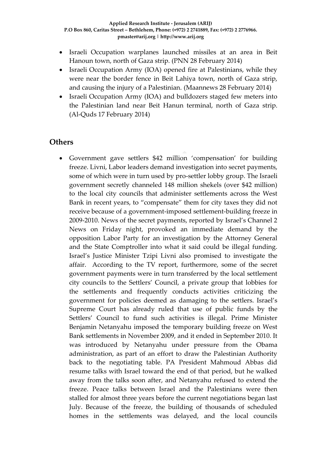- Israeli Occupation warplanes launched missiles at an area in Beit Hanoun town, north of Gaza strip. (PNN 28 February 2014)
- Israeli Occupation Army (IOA) opened fire at Palestinians, while they were near the border fence in Beit Lahiya town, north of Gaza strip, and causing the injury of a Palestinian. (Maannews 28 February 2014)
- Israeli Occupation Army (IOA) and bulldozers staged few meters into the Palestinian land near Beit Hanun terminal, north of Gaza strip. (Al-Quds 17 February 2014)

### **Others**

 Government gave settlers \$42 million 'compensation' for building freeze. Livni, Labor leaders demand investigation into secret payments, some of which were in turn used by pro-settler lobby group. The Israeli government secretly channeled 148 million shekels (over \$42 million) to the local city councils that administer settlements across the West Bank in recent years, to "compensate" them for city taxes they did not receive because of a government-imposed settlement-building freeze in 2009-2010. News of the secret payments, reported by Israel's Channel 2 News on Friday night, provoked an immediate demand by the opposition Labor Party for an investigation by the Attorney General and the State Comptroller into what it said could be illegal funding. Israel's Justice Minister Tzipi Livni also promised to investigate the affair. According to the TV report, furthermore, some of the secret government payments were in turn transferred by the local settlement city councils to the Settlers' Council, a private group that lobbies for the settlements and frequently conducts activities criticizing the government for policies deemed as damaging to the settlers. Israel's Supreme Court has already ruled that use of public funds by the Settlers' Council to fund such activities is illegal. Prime Minister Benjamin Netanyahu imposed the temporary building freeze on West Bank settlements in November 2009, and it ended in September 2010. It was introduced by Netanyahu under pressure from the Obama administration, as part of an effort to draw the Palestinian Authority back to the negotiating table. PA President Mahmoud Abbas did resume talks with Israel toward the end of that period, but he walked away from the talks soon after, and Netanyahu refused to extend the freeze. Peace talks between Israel and the Palestinians were then stalled for almost three years before the current negotiations began last July. Because of the freeze, the building of thousands of scheduled homes in the settlements was delayed, and the local councils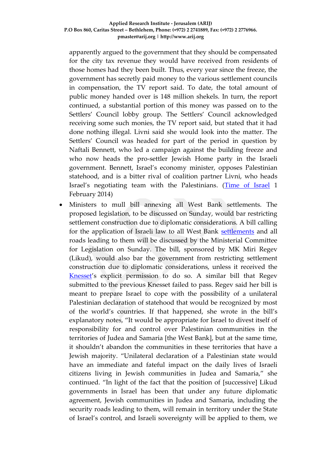apparently argued to the government that they should be compensated for the city tax revenue they would have received from residents of those homes had they been built. Thus, every year since the freeze, the government has secretly paid money to the various settlement councils in compensation, the TV report said. To date, the total amount of public money handed over is 148 million shekels. In turn, the report continued, a substantial portion of this money was passed on to the Settlers' Council lobby group. The Settlers' Council acknowledged receiving some such monies, the TV report said, but stated that it had done nothing illegal. Livni said she would look into the matter. The Settlers' Council was headed for part of the period in question by Naftali Bennett, who led a campaign against the building freeze and who now heads the pro-settler Jewish Home party in the Israeli government. Bennett, Israel's economy minister, opposes Palestinian statehood, and is a bitter rival of coalition partner Livni, who heads Israel's negotiating team with the Palestinians. [\(Time of Israel](http://www.timesofisrael.com/government-gave-settlers-42-million-compensation-for-building-freeze/) 1 February 2014)

 Ministers to mull bill annexing all West Bank settlements. The proposed legislation, to be discussed on Sunday, would bar restricting settlement construction due to diplomatic considerations. A bill calling for the application of Israeli law to all West Bank [settlements](http://www.haaretz.com/misc/tags/Israel%20settlements-1.477056) and all roads leading to them will be discussed by the Ministerial Committee for Legislation on Sunday. The bill, sponsored by MK Miri Regev (Likud), would also bar the government from restricting settlement construction due to diplomatic considerations, unless it received the [Knesset](http://www.haaretz.com/meta/Tag/Knesset)'s explicit permission to do so. A similar bill that Regev submitted to the previous Knesset failed to pass. Regev said her bill is meant to prepare Israel to cope with the possibility of a unilateral Palestinian declaration of statehood that would be recognized by most of the world's countries. If that happened, she wrote in the bill's explanatory notes, "It would be appropriate for Israel to divest itself of responsibility for and control over Palestinian communities in the territories of Judea and Samaria [the West Bank], but at the same time, it shouldn't abandon the communities in these territories that have a Jewish majority. "Unilateral declaration of a Palestinian state would have an immediate and fateful impact on the daily lives of Israeli citizens living in Jewish communities in Judea and Samaria," she continued. "In light of the fact that the position of [successive] Likud governments in Israel has been that under any future diplomatic agreement, Jewish communities in Judea and Samaria, including the security roads leading to them, will remain in territory under the State of Israel's control, and Israeli sovereignty will be applied to them, we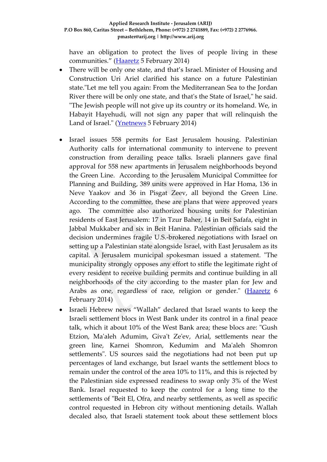have an obligation to protect the lives of people living in these communities." ([Haaretz](http://www.haaretz.com/news/diplomacy-defense/.premium-1.572500) 5 February 2014)

- There will be only one state, and that's Israel. Minister of Housing and Construction Uri Ariel clarified his stance on a future Palestinian state."Let me tell you again: From the Mediterranean Sea to the Jordan River there will be only one state, and that's the State of Israel," he said. "The Jewish people will not give up its country or its homeland. We, in Habayit Hayehudi, will not sign any paper that will relinquish the Land of Israel." [\(Ynetnews](http://www.ynetnews.com/articles/0,7340,L-4484666,00.html) 5 February 2014)
- Israel issues 558 permits for East Jerusalem housing. Palestinian Authority calls for international community to intervene to prevent construction from derailing peace talks. Israeli planners gave final approval for 558 new apartments in Jerusalem neighborhoods beyond the Green Line. According to the Jerusalem Municipal Committee for Planning and Building, 389 units were approved in Har Homa, 136 in Neve Yaakov and 36 in Pisgat Zeev, all beyond the Green Line. According to the committee, these are plans that were approved years ago. The committee also authorized housing units for Palestinian residents of East Jerusalem: 17 in Tzur Baher, 14 in Beit Safafa, eight in Jabbal Mukkaber and six in Beit Hanina. Palestinian officials said the decision undermines fragile U.S.-brokered negotiations with Israel on setting up a Palestinian state alongside Israel, with East Jerusalem as its capital. A Jerusalem municipal spokesman issued a statement. "The municipality strongly opposes any effort to stifle the legitimate right of every resident to receive building permits and continue building in all neighborhoods of the city according to the master plan for Jew and Arabs as one, regardless of race, religion or gender." [\(Haaretz](http://www.haaretz.com/news/diplomacy-defense/1.572616) 6 February 2014)
- Israeli Hebrew news "Wallah" declared that Israel wants to keep the Israeli settlement blocs in West Bank under its control in a final peace talk, which it about 10% of the West Bank area; these blocs are: "Gush Etzion, Ma'aleh Adumim, Giva't Ze'ev, Arial, settlements near the green line, Karnei Shomron, Kedumim and Ma'aleh Shomron settlements". US sources said the negotiations had not been put up percentages of land exchange, but Israel wants the settlement blocs to remain under the control of the area 10% to 11%, and this is rejected by the Palestinian side expressed readiness to swap only 3% of the West Bank. Israel requested to keep the control for a long time to the settlements of "Beit El, Ofra, and nearby settlements, as well as specific control requested in Hebron city without mentioning details. Wallah decaled also, that Israeli statement took about these settlement blocs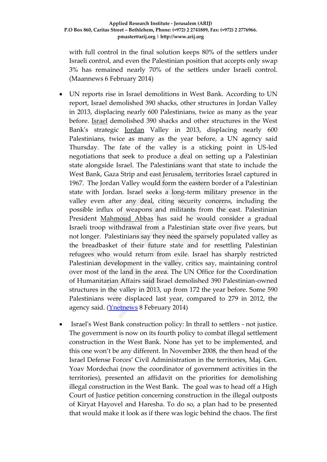with full control in the final solution keeps 80% of the settlers under Israeli control, and even the Palestinian position that accepts only swap 3% has remained nearly 70% of the settlers under Israeli control. (Maannews 6 February 2014)

- UN reports rise in Israel demolitions in West Bank. According to UN report, Israel demolished 390 shacks, other structures in Jordan Valley in 2013, displacing nearly 600 Palestinians, twice as many as the year before. [Israel](http://www.ynetnews.com/articles/0,7340,L-3284752,00.html) demolished 390 shacks and other structures in the West Bank's strategic [Jordan](http://www.ynetnews.com/articles/0,7340,L-3284752,00.html) Valley in 2013, displacing nearly 600 Palestinians, twice as many as the year before, a UN agency said Thursday. The fate of the valley is a sticking point in US-led negotiations that seek to produce a deal on setting up a Palestinian state alongside Israel. The Palestinians want that state to include the West Bank, Gaza Strip and east Jerusalem, territories Israel captured in 1967. The Jordan Valley would form the eastern border of a Palestinian state with Jordan. Israel seeks a long-term military presence in the valley even after any deal, citing security concerns, including the possible influx of weapons and militants from the east. Palestinian President [Mahmoud Abbas](http://www.ynetnews.com/articles/0,7340,L-3479383,00.html) has said he would consider a gradual Israeli troop withdrawal from a Palestinian state over five years, but not longer. Palestinians say they need the sparsely populated valley as the breadbasket of their future state and for resettling Palestinian refugees who would return from exile. Israel has sharply restricted Palestinian development in the valley, critics say, maintaining control over most of the land in the area. The UN Office for the Coordination of Humanitarian Affairs said Israel demolished 390 Palestinian-owned structures in the valley in 2013, up from 172 the year before. Some 590 Palestinians were displaced last year, compared to 279 in 2012, the agency said. (*Ynetnews* 8 February 2014)
- Israel's West Bank construction policy: In thrall to settlers not justice. The government is now on its fourth policy to combat illegal settlement construction in the West Bank. None has yet to be implemented, and this one won't be any different. In November 2008, the then head of the Israel Defense Forces' Civil Administration in the territories, Maj. Gen. Yoav Mordechai (now the coordinator of government activities in the territories), presented an affidavit on the priorities for demolishing illegal construction in the West Bank. The goal was to head off a High Court of Justice petition concerning construction in the illegal outposts of Kiryat Hayovel and Haresha. To do so, a plan had to be presented that would make it look as if there was logic behind the chaos. The first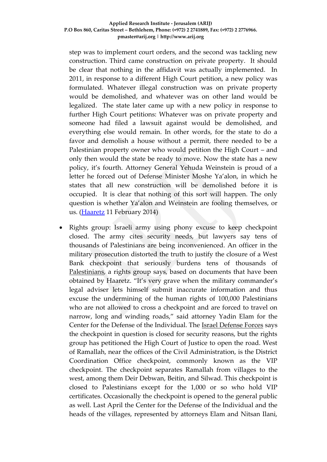step was to implement court orders, and the second was tackling new construction. Third came construction on private property. It should be clear that nothing in the affidavit was actually implemented. In 2011, in response to a different High Court petition, a new policy was formulated. Whatever illegal construction was on private property would be demolished, and whatever was on other land would be legalized. The state later came up with a new policy in response to further High Court petitions: Whatever was on private property and someone had filed a lawsuit against would be demolished, and everything else would remain. In other words, for the state to do a favor and demolish a house without a permit, there needed to be a Palestinian property owner who would petition the High Court – and only then would the state be ready to move. Now the state has a new policy, it's fourth. Attorney General Yehuda Weinstein is proud of a letter he forced out of Defense Minister Moshe Ya'alon, in which he states that all new construction will be demolished before it is occupied. It is clear that nothing of this sort will happen. The only question is whether Ya'alon and Weinstein are fooling themselves, or us. [\(Haaretz](http://www.haaretz.com/news/diplomacy-defense/.premium-1.573318) 11 February 2014)

 Rights group: Israeli army using phony excuse to keep checkpoint closed. The army cites security needs, but lawyers say tens of thousands of Palestinians are being inconvenienced. An officer in the military prosecution distorted the truth to justify the closure of a West Bank checkpoint that seriously burdens tens of thousands of [Palestinians,](http://www.haaretz.com/misc/tags/Palestinians-1.477125) a rights group says, based on documents that have been obtained by Haaretz. "It's very grave when the military commander's legal adviser lets himself submit inaccurate information and thus excuse the undermining of the human rights of 100,000 Palestinians who are not allowed to cross a checkpoint and are forced to travel on narrow, long and winding roads," said attorney Yadin Elam for the Center for the Defense of the Individual. The [Israel Defense Forces](http://www.haaretz.com/misc/tags/IDF-1.476775) says the checkpoint in question is closed for security reasons, but the rights group has petitioned the High Court of Justice to open the road. West of Ramallah, near the offices of the Civil Administration, is the District Coordination Office checkpoint, commonly known as the VIP checkpoint. The checkpoint separates Ramallah from villages to the west, among them Deir Debwan, Beitin, and Silwad. This checkpoint is closed to Palestinians except for the 1,000 or so who hold VIP certificates. Occasionally the checkpoint is opened to the general public as well. Last April the Center for the Defense of the Individual and the heads of the villages, represented by attorneys Elam and Nitsan Ilani,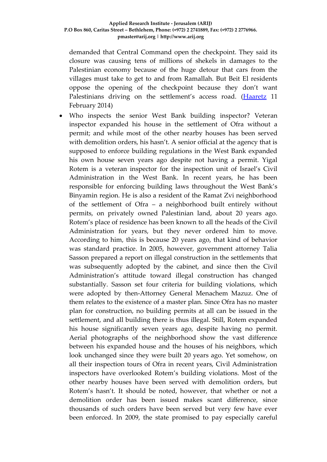demanded that Central Command open the checkpoint. They said its closure was causing tens of millions of shekels in damages to the Palestinian economy because of the huge detour that cars from the villages must take to get to and from Ramallah. But Beit El residents oppose the opening of the checkpoint because they don't want Palestinians driving on the settlement's access road. [\(Haaretz](http://www.haaretz.com/news/diplomacy-defense/.premium-1.573331) 11 February 2014)

 Who inspects the senior West Bank building inspector? Veteran inspector expanded his house in the settlement of Ofra without a permit; and while most of the other nearby houses has been served with demolition orders, his hasn't. A senior official at the agency that is supposed to enforce building regulations in the West Bank expanded his own house seven years ago despite not having a permit. Yigal Rotem is a veteran inspector for the inspection unit of Israel's Civil Administration in the West Bank. In recent years, he has been responsible for enforcing building laws throughout the West Bank's Binyamin region. He is also a resident of the Ramat Zvi neighborhood of the settlement of Ofra – a neighborhood built entirely without permits, on privately owned Palestinian land, about 20 years ago. Rotem's place of residence has been known to all the heads of the Civil Administration for years, but they never ordered him to move. According to him, this is because 20 years ago, that kind of behavior was standard practice. In 2005, however, government attorney Talia Sasson prepared a report on illegal construction in the settlements that was subsequently adopted by the cabinet, and since then the Civil Administration's attitude toward illegal construction has changed substantially. Sasson set four criteria for building violations, which were adopted by then-Attorney General Menachem Mazuz. One of them relates to the existence of a master plan. Since Ofra has no master plan for construction, no building permits at all can be issued in the settlement, and all building there is thus illegal. Still, Rotem expanded his house significantly seven years ago, despite having no permit. Aerial photographs of the neighborhood show the vast difference between his expanded house and the houses of his neighbors, which look unchanged since they were built 20 years ago. Yet somehow, on all their inspection tours of Ofra in recent years, Civil Administration inspectors have overlooked Rotem's building violations. Most of the other nearby houses have been served with demolition orders, but Rotem's hasn't. It should be noted, however, that whether or not a demolition order has been issued makes scant difference, since thousands of such orders have been served but very few have ever been enforced. In 2009, the state promised to pay especially careful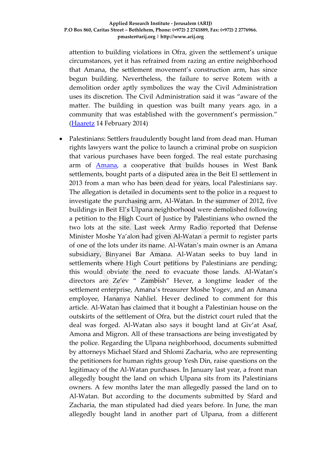attention to building violations in Ofra, given the settlement's unique circumstances, yet it has refrained from razing an entire neighborhood that Amana, the settlement movement's construction arm, has since begun building. Nevertheless, the failure to serve Rotem with a demolition order aptly symbolizes the way the Civil Administration uses its discretion. The Civil Administration said it was "aware of the matter. The building in question was built many years ago, in a community that was established with the government's permission." [\(Haaretz](http://www.haaretz.com/news/national/.premium-1.574226) 14 February 2014)

• Palestinians: Settlers fraudulently bought land from dead man. Human rights lawyers want the police to launch a criminal probe on suspicion that various purchases have been forged. The real estate purchasing arm of [Amana,](http://www.haaretz.com/news/features/the-organization-behind-illegal-west-bank-outpost-construction.premium-1.523823) a cooperative that builds houses in West Bank settlements, bought parts of a disputed area in the Beit El settlement in 2013 from a man who has been dead for years, local Palestinians say. The allegation is detailed in documents sent to the police in a request to investigate the purchasing arm, Al-Watan. In the summer of 2012, five buildings in Beit El's Ulpana neighborhood were demolished following a petition to the High Court of Justice by Palestinians who owned the two lots at the site. Last week Army Radio reported that Defense Minister Moshe Ya'alon had given Al-Watan a permit to register parts of one of the lots under its name. Al-Watan's main owner is an Amana subsidiary, Binyanei Bar Amana. Al-Watan seeks to buy land in settlements where High Court petitions by Palestinians are pending; this would obviate the need to evacuate those lands. Al-Watan's directors are Ze'ev " Zambish" Hever, a longtime leader of the settlement enterprise, Amana's treasurer Moshe Yogev, and an Amana employee, Hananya Nahliel. Hever declined to comment for this article. Al-Watan has claimed that it bought a Palestinian house on the outskirts of the settlement of Ofra, but the district court ruled that the deal was forged. Al-Watan also says it bought land at Giv'at Asaf, Amona and Migron. All of these transactions are being investigated by the police. Regarding the Ulpana neighborhood, documents submitted by attorneys Michael Sfard and Shlomi Zacharia, who are representing the petitioners for human rights group Yesh Din, raise questions on the legitimacy of the Al-Watan purchases. In January last year, a front man allegedly bought the land on which Ulpana sits from its Palestinians owners. A few months later the man allegedly passed the land on to Al-Watan. But according to the documents submitted by Sfard and Zacharia, the man stipulated had died years before. In June, the man allegedly bought land in another part of Ulpana, from a different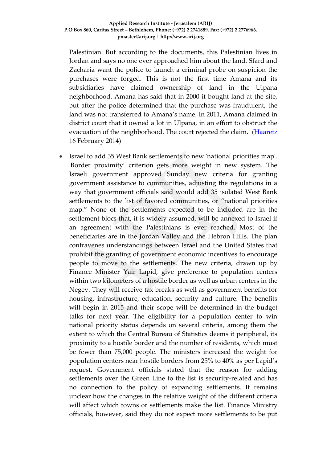Palestinian. But according to the documents, this Palestinian lives in Jordan and says no one ever approached him about the land. Sfard and Zacharia want the police to launch a criminal probe on suspicion the purchases were forged. This is not the first time Amana and its subsidiaries have claimed ownership of land in the Ulpana neighborhood. Amana has said that in 2000 it bought land at the site, but after the police determined that the purchase was fraudulent, the land was not transferred to Amana's name. In 2011, Amana claimed in district court that it owned a lot in Ulpana, in an effort to obstruct the evacuation of the neighborhood. The court rejected the claim. [\(Haaretz](http://lp.bezecom.com/bezecomlp/newlp/Bezecom5DollarEN.aspx?af=ynet5dollaren) 16 February 2014)

 Israel to add 35 West Bank settlements to new 'national priorities map'. 'Border proximity' criterion gets more weight in new system. The Israeli government approved Sunday new criteria for granting government assistance to communities, adjusting the regulations in a way that government officials said would add 35 isolated West Bank settlements to the list of favored communities, or "national priorities map." None of the settlements expected to be included are in the settlement blocs that, it is widely assumed, will be annexed to Israel if an agreement with the Palestinians is ever reached. Most of the beneficiaries are in the Jordan Valley and the Hebron Hills. The plan contravenes understandings between Israel and the United States that prohibit the granting of government economic incentives to encourage people to move to the settlements. The new criteria, drawn up by Finance Minister Yair Lapid, give preference to population centers within two kilometers of a hostile border as well as urban centers in the Negev. They will receive tax breaks as well as government benefits for housing, infrastructure, education, security and culture. The benefits will begin in 2015 and their scope will be determined in the budget talks for next year. The eligibility for a population center to win national priority status depends on several criteria, among them the extent to which the Central Bureau of Statistics deems it peripheral, its proximity to a hostile border and the number of residents, which must be fewer than 75,000 people. The ministers increased the weight for population centers near hostile borders from 25% to 40% as per Lapid's request. Government officials stated that the reason for adding settlements over the Green Line to the list is security-related and has no connection to the policy of expanding settlements. It remains unclear how the changes in the relative weight of the different criteria will affect which towns or settlements make the list. Finance Ministry officials, however, said they do not expect more settlements to be put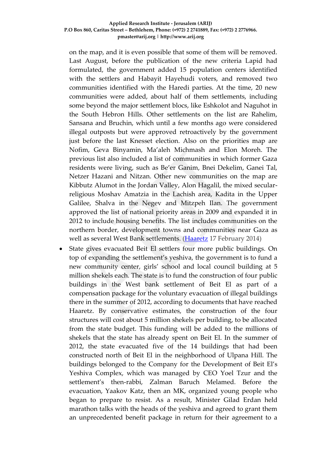#### **Applied Research Institute - Jerusalem (ARIJ) P.O Box 860, Caritas Street – Bethlehem, Phone: (+972) 2 2741889, Fax: (+972) 2 2776966. pmaster@arij.org | http://www.arij.org**

on the map, and it is even possible that some of them will be removed. Last August, before the publication of the new criteria Lapid had formulated, the government added 15 population centers identified with the settlers and Habayit Hayehudi voters, and removed two communities identified with the Haredi parties. At the time, 20 new communities were added, about half of them settlements, including some beyond the major settlement blocs, like Eshkolot and Naguhot in the South Hebron Hills. Other settlements on the list are Rahelim, Sansana and Bruchin, which until a few months ago were considered illegal outposts but were approved retroactively by the government just before the last Knesset election. Also on the priorities map are Nofim, Geva Binyamin, Ma'aleh Michmash and Elon Moreh. The previous list also included a list of communities in which former Gaza residents were living, such as Be'er Ganim, Bnei Dekelim, Ganei Tal, Netzer Hazani and Nitzan. Other new communities on the map are Kibbutz Alumot in the Jordan Valley, Alon Hagalil, the mixed secularreligious Moshav Amatzia in the Lachish area, Kadita in the Upper Galilee, Shalva in the Negev and Mitzpeh Ilan. The government approved the list of national priority areas in 2009 and expanded it in 2012 to include housing benefits. The list includes communities on the northern border, development towns and communities near Gaza as well as several West Bank settlements. [\(Haaretz](http://www.haaretz.com/news/diplomacy-defense/.premium-1.574590) 17 February 2014)

 State gives evacuated Beit El settlers four more public buildings. On top of expanding the settlement's yeshiva, the government is to fund a new community center, girls' school and local council building at 5 million shekels each. The state is to fund the construction of four public buildings in the West bank settlement of Beit El as part of a compensation package for the voluntary evacuation of illegal buildings there in the summer of 2012, according to documents that have reached Haaretz. By conservative estimates, the construction of the four structures will cost about 5 million shekels per building, to be allocated from the state budget. This funding will be added to the millions of shekels that the state has already spent on Beit El. In the summer of 2012, the state evacuated five of the 14 buildings that had been constructed north of Beit El in the neighborhood of Ulpana Hill. The buildings belonged to the Company for the Development of Beit El's Yeshiva Complex, which was managed by CEO Yoel Tzur and the settlement's then-rabbi, Zalman Baruch Melamed. Before the evacuation, Yaakov Katz, then an MK, organized young people who began to prepare to resist. As a result, Minister Gilad Erdan held marathon talks with the heads of the yeshiva and agreed to grant them an unprecedented benefit package in return for their agreement to a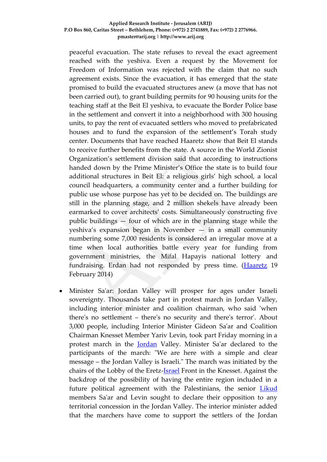#### **Applied Research Institute - Jerusalem (ARIJ) P.O Box 860, Caritas Street – Bethlehem, Phone: (+972) 2 2741889, Fax: (+972) 2 2776966. pmaster@arij.org | http://www.arij.org**

peaceful evacuation. The state refuses to reveal the exact agreement reached with the yeshiva. Even a request by the Movement for Freedom of Information was rejected with the claim that no such agreement exists. Since the evacuation, it has emerged that the state promised to build the evacuated structures anew (a move that has not been carried out), to grant building permits for 90 housing units for the teaching staff at the Beit El yeshiva, to evacuate the Border Police base in the settlement and convert it into a neighborhood with 300 housing units, to pay the rent of evacuated settlers who moved to prefabricated houses and to fund the expansion of the settlement's Torah study center. Documents that have reached Haaretz show that Beit El stands to receive further benefits from the state. A source in the World Zionist Organization's settlement division said that according to instructions handed down by the Prime Minister's Office the state is to build four additional structures in Beit El: a religious girls' high school, a local council headquarters, a community center and a further building for public use whose purpose has yet to be decided on. The buildings are still in the planning stage, and 2 million shekels have already been earmarked to cover architects' costs. Simultaneously constructing five public buildings — four of which are in the planning stage while the yeshiva's expansion began in November — in a small community numbering some 7,000 residents is considered an irregular move at a time when local authorities battle every year for funding from government ministries, the Mifal Hapayis national lottery and fundraising. Erdan had not responded by press time. [\(Haaretz](http://www.haaretz.com/news/national/.premium-1.575014) 19 February 2014)

 Minister Sa'ar: Jordan Valley will prosper for ages under Israeli sovereignty. Thousands take part in protest march in Jordan Valley, including interior minister and coalition chairman, who said 'when there's no settlement – there's no security and there's terror'. About 3,000 people, including Interior Minister Gideon Sa'ar and Coalition Chairman Knesset Member Yariv Levin, took part Friday morning in a protest march in the [Jordan](http://www.ynetnews.com/articles/0,7340,L-3284752,00.html) Valley. Minister Sa'ar declared to the participants of the march: "We are here with a simple and clear message – the Jordan Valley is Israeli." The march was initiated by the chairs of the Lobby of the Eretz[-Israel](http://www.ynetnews.com/articles/0,7340,L-3284752,00.html) Front in the Knesset. Against the backdrop of the possibility of having the entire region included in a future political agreement with the Palestinians, the senior **[Likud](http://www.ynetnews.com/articles/0,7340,L-3498238,00.html)** members Sa'ar and Levin sought to declare their opposition to any territorial concession in the Jordan Valley. The interior minister added that the marchers have come to support the settlers of the Jordan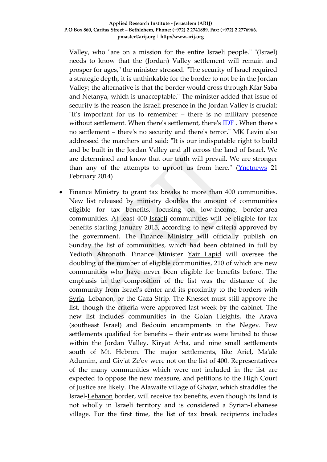Valley, who "are on a mission for the entire Israeli people." "(Israel) needs to know that the (Jordan) Valley settlement will remain and prosper for ages," the minister stressed. "The security of Israel required a strategic depth, it is unthinkable for the border to not be in the Jordan Valley; the alternative is that the border would cross through Kfar Saba and Netanya, which is unacceptable." The minister added that issue of security is the reason the Israeli presence in the Jordan Valley is crucial: "It's important for us to remember – there is no military presence without settlement. When there's settlement, there's [IDF](http://www.ynetnews.com/articles/0,7340,L-4117583,00.html) . When there's no settlement – there's no security and there's terror." MK Levin also addressed the marchers and said: "It is our indisputable right to build and be built in the Jordan Valley and all across the land of Israel. We are determined and know that our truth will prevail. We are stronger than any of the attempts to uproot us from here."  $(Ynethews 21)$ February 2014)

 Finance Ministry to grant tax breaks to more than 400 communities. New list released by ministry doubles the amount of communities eligible for tax benefits, focusing on low-income, border-area communities. At least 400 [Israeli](http://www.ynetnews.com/articles/0,7340,L-3284752,00.html) communities will be eligible for tax benefits starting January 2015, according to new criteria approved by the government. The Finance Ministry will officially publish on Sunday the list of communities, which had been obtained in full by Yedioth Ahronoth. Finance Minister [Yair Lapid](http://www.ynetnews.com/articles/0,7340,L-4367516,00.html) will oversee the doubling of the number of eligible communities, 210 of which are new communities who have never been eligible for benefits before. The emphasis in the composition of the list was the distance of the community from Israel's center and its proximity to the borders with [Syria,](http://www.ynetnews.com/articles/0,7340,L-3284752,00.html) Lebanon, or the Gaza Strip. The Knesset must still approve the list, though the criteria were approved last week by the cabinet. The new list includes communities in the Golan Heights, the Arava (southeast Israel) and Bedouin encampments in the Negev. Few settlements qualified for benefits – their entries were limited to those within the [Jordan](http://www.ynetnews.com/articles/0,7340,L-3284752,00.html) Valley, Kiryat Arba, and nine small settlements south of Mt. Hebron. The major settlements, like Ariel, Ma'ale Adumim, and Giv'at Ze'ev were not on the list of 400. Representatives of the many communities which were not included in the list are expected to oppose the new measure, and petitions to the High Court of Justice are likely. The Alawaite village of Ghajar, which straddles the Israel[-Lebanon](http://www.ynetnews.com/articles/0,7340,L-3284752,00.html) border, will receive tax benefits, even though its land is not wholly in Israeli territory and is considered a Syrian-Lebanese village. For the first time, the list of tax break recipients includes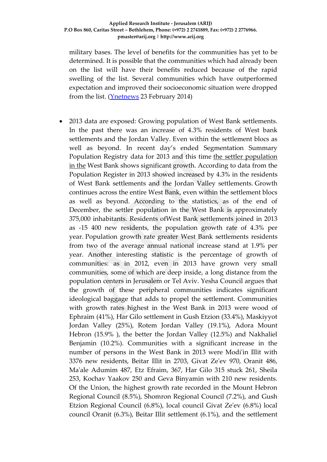### **Applied Research Institute - Jerusalem (ARIJ) P.O Box 860, Caritas Street – Bethlehem, Phone: (+972) 2 2741889, Fax: (+972) 2 2776966. pmaster@arij.org | http://www.arij.org**

military bases. The level of benefits for the communities has yet to be determined. It is possible that the communities which had already been on the list will have their benefits reduced because of the rapid swelling of the list. Several communities which have outperformed expectation and improved their socioeconomic situation were dropped from the list. [\(Ynetnews](http://www.ynetnews.com/articles/0,7340,L-4491390,00.html) 23 February 2014)

 2013 data are exposed: Growing population of West Bank settlements. In the past there was an increase of 4.3% residents of West bank settlements and the Jordan Valley. Even within the settlement blocs as well as beyond. In recent day's ended Segmentation Summary Population Registry data for 2013 and this time [the settler population](http://www.inn.co.il/News/News.aspx/260377)  [in the](http://www.inn.co.il/News/News.aspx/260377) West Bank shows significant growth. According to data from the Population Register in 2013 showed increased by 4.3% in the residents of West Bank settlements and the Jordan Valley settlements. Growth continues across the entire West Bank, even within the settlement blocs as well as beyond. According to the statistics, as of the end of December, the settler population in the West Bank is approximately 375,000 inhabitants. Residents ofWest Bank settlements joined in 2013 as -15 400 new residents, the population growth rate of 4.3% per year. Population growth rate greater West Bank settlements residents from two of the average annual national increase stand at 1.9% per year. Another interesting statistic is the percentage of growth of communities: as in 2012, even in 2013 have grown very small communities, some of which are deep inside, a long distance from the population centers in Jerusalem or Tel Aviv. Yesha Council argues that the growth of these peripheral communities indicates significant ideological baggage that adds to propel the settlement. Communities with growth rates highest in the West Bank in 2013 were wood of Ephraim (41%), Har Gilo settlement in Gush Etzion (33.4%), Maskiyyot Jordan Valley (25%), Rotem Jordan Valley (19.1%), Adora Mount Hebron (15.9% ), the better the Jordan Valley (12.5%) and Nakhaliel Benjamin (10.2%). Communities with a significant increase in the number of persons in the West Bank in 2013 were Modi'in Illit with 3376 new residents, Beitar Illit in 2703, Givat Ze'ev 970, Oranit 486, Ma'ale Adumim 487, Etz Efraim, 367, Har Gilo 315 stuck 261, Sheila 253, Kochav Yaakov 250 and Geva Binyamin with 210 new residents. Of the Union, the highest growth rate recorded in the Mount Hebron Regional Council (8.5%), Shomron Regional Council (7.2%), and Gush Etzion Regional Council (6.8%), local council Givat Ze'ev (6.8%) local council Oranit (6.3%), Beitar Illit settlement (6.1%), and the settlement